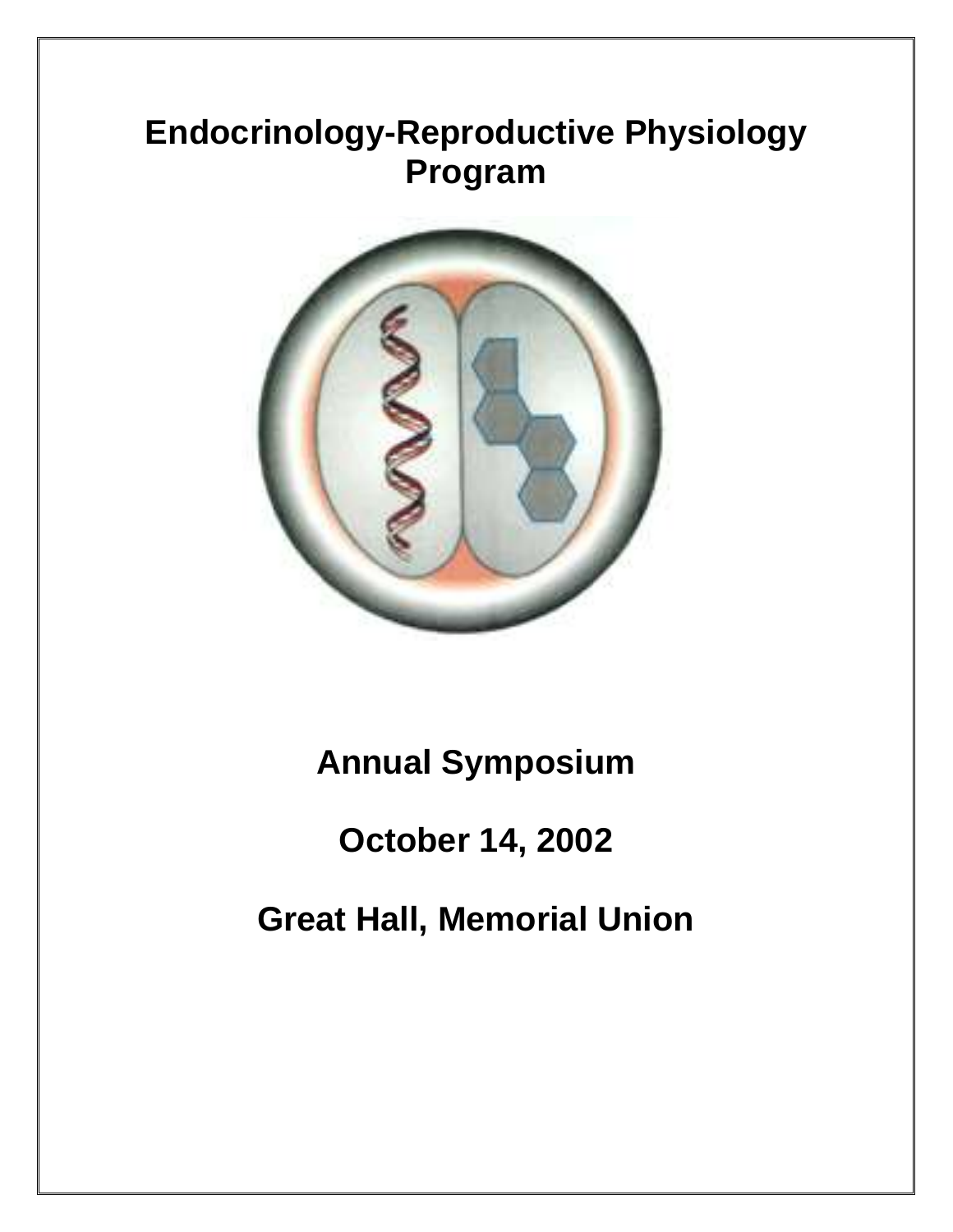# **Endocrinology-Reproductive Physiology Program**



**Annual Symposium**

# **October 14, 2002**

**Great Hall, Memorial Union**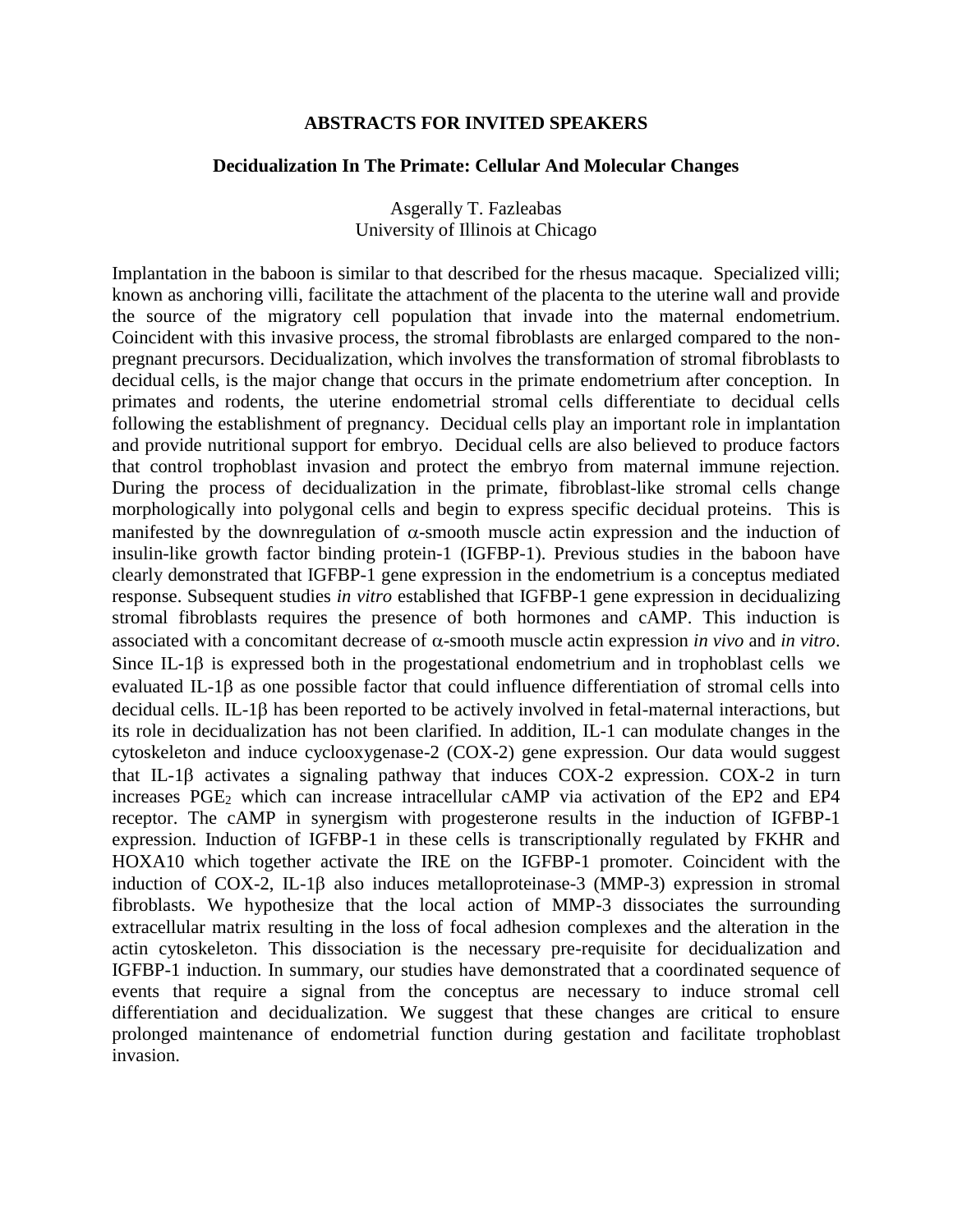#### **ABSTRACTS FOR INVITED SPEAKERS**

#### **Decidualization In The Primate: Cellular And Molecular Changes**

Asgerally T. Fazleabas University of Illinois at Chicago

Implantation in the baboon is similar to that described for the rhesus macaque. Specialized villi; known as anchoring villi, facilitate the attachment of the placenta to the uterine wall and provide the source of the migratory cell population that invade into the maternal endometrium. Coincident with this invasive process, the stromal fibroblasts are enlarged compared to the nonpregnant precursors. Decidualization, which involves the transformation of stromal fibroblasts to decidual cells, is the major change that occurs in the primate endometrium after conception. In primates and rodents, the uterine endometrial stromal cells differentiate to decidual cells following the establishment of pregnancy. Decidual cells play an important role in implantation and provide nutritional support for embryo. Decidual cells are also believed to produce factors that control trophoblast invasion and protect the embryo from maternal immune rejection. During the process of decidualization in the primate, fibroblast-like stromal cells change morphologically into polygonal cells and begin to express specific decidual proteins. This is manifested by the downregulation of  $\alpha$ -smooth muscle actin expression and the induction of insulin-like growth factor binding protein-1 (IGFBP-1). Previous studies in the baboon have clearly demonstrated that IGFBP-1 gene expression in the endometrium is a conceptus mediated response. Subsequent studies *in vitro* established that IGFBP-1 gene expression in decidualizing stromal fibroblasts requires the presence of both hormones and cAMP. This induction is associated with a concomitant decrease of  $\alpha$ -smooth muscle actin expression *in vivo* and *in vitro*. Since IL-1 $\beta$  is expressed both in the progestational endometrium and in trophoblast cells we evaluated IL-1 $\beta$  as one possible factor that could influence differentiation of stromal cells into decidual cells. IL-1 $\beta$  has been reported to be actively involved in fetal-maternal interactions, but its role in decidualization has not been clarified. In addition, IL-1 can modulate changes in the cytoskeleton and induce cyclooxygenase-2 (COX-2) gene expression. Our data would suggest that IL-1 $\beta$  activates a signaling pathway that induces COX-2 expression. COX-2 in turn increases PGE<sub>2</sub> which can increase intracellular cAMP via activation of the EP2 and EP4 receptor. The cAMP in synergism with progesterone results in the induction of IGFBP-1 expression. Induction of IGFBP-1 in these cells is transcriptionally regulated by FKHR and HOXA10 which together activate the IRE on the IGFBP-1 promoter. Coincident with the induction of COX-2, IL-1 $\beta$  also induces metalloproteinase-3 (MMP-3) expression in stromal fibroblasts. We hypothesize that the local action of MMP-3 dissociates the surrounding extracellular matrix resulting in the loss of focal adhesion complexes and the alteration in the actin cytoskeleton. This dissociation is the necessary pre-requisite for decidualization and IGFBP-1 induction. In summary, our studies have demonstrated that a coordinated sequence of events that require a signal from the conceptus are necessary to induce stromal cell differentiation and decidualization. We suggest that these changes are critical to ensure prolonged maintenance of endometrial function during gestation and facilitate trophoblast invasion.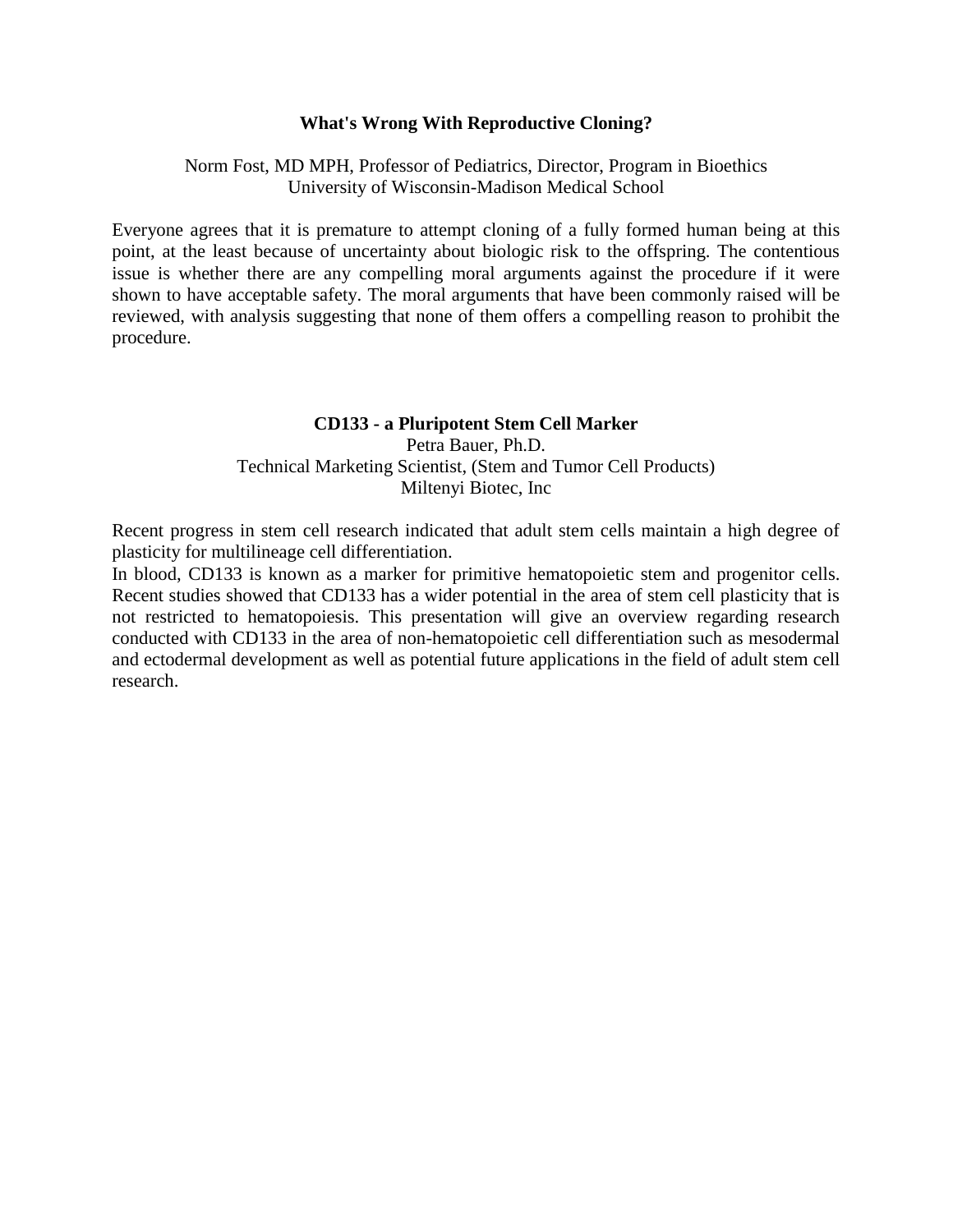# **What's Wrong With Reproductive Cloning?**

# Norm Fost, MD MPH, Professor of Pediatrics, Director, Program in Bioethics University of Wisconsin-Madison Medical School

Everyone agrees that it is premature to attempt cloning of a fully formed human being at this point, at the least because of uncertainty about biologic risk to the offspring. The contentious issue is whether there are any compelling moral arguments against the procedure if it were shown to have acceptable safety. The moral arguments that have been commonly raised will be reviewed, with analysis suggesting that none of them offers a compelling reason to prohibit the procedure.

# **CD133 - a Pluripotent Stem Cell Marker**

Petra Bauer, Ph.D. Technical Marketing Scientist, (Stem and Tumor Cell Products) Miltenyi Biotec, Inc

Recent progress in stem cell research indicated that adult stem cells maintain a high degree of plasticity for multilineage cell differentiation.

In blood, CD133 is known as a marker for primitive hematopoietic stem and progenitor cells. Recent studies showed that CD133 has a wider potential in the area of stem cell plasticity that is not restricted to hematopoiesis. This presentation will give an overview regarding research conducted with CD133 in the area of non-hematopoietic cell differentiation such as mesodermal and ectodermal development as well as potential future applications in the field of adult stem cell research.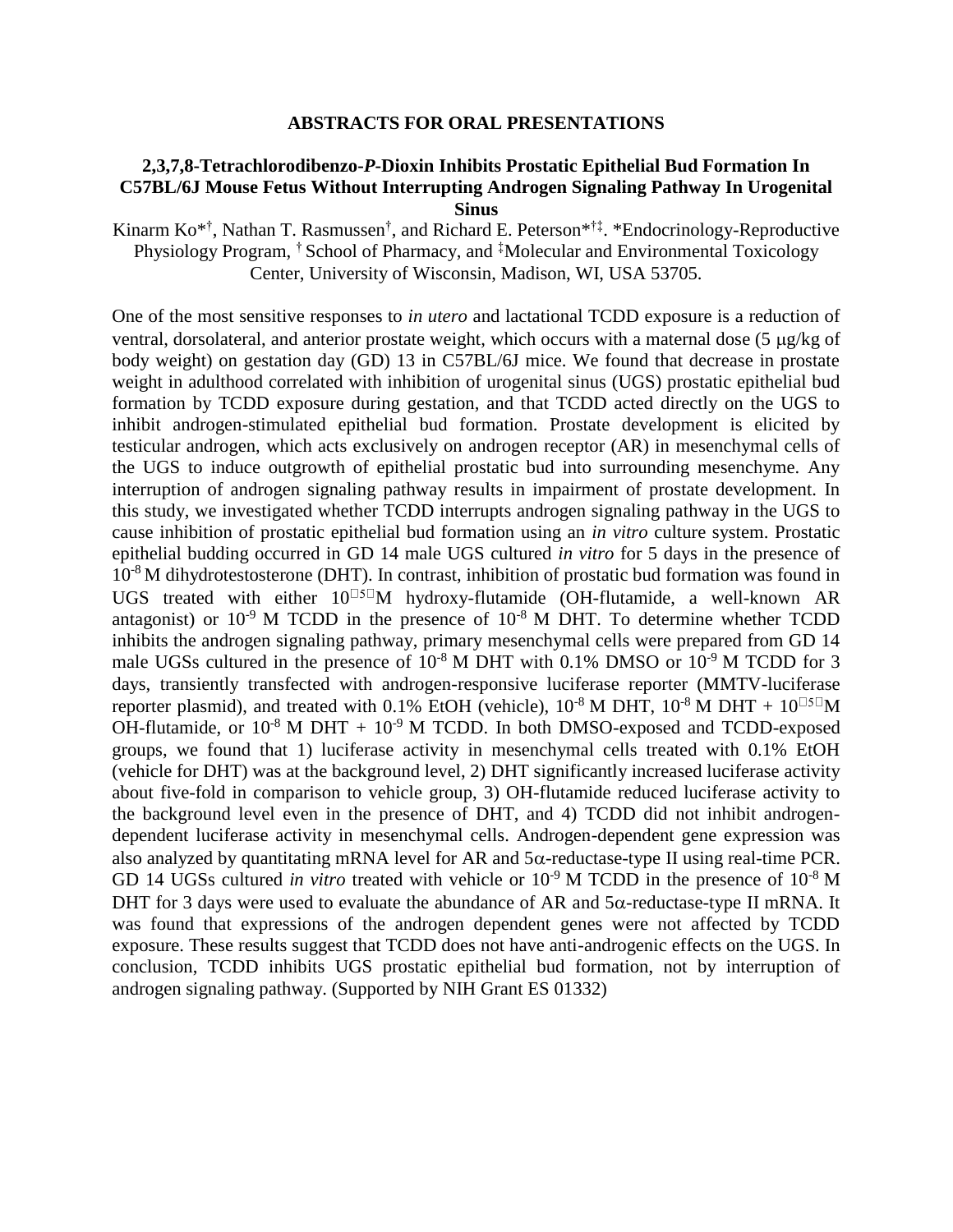#### **ABSTRACTS FOR ORAL PRESENTATIONS**

# **2,3,7,8-Tetrachlorodibenzo-***P***-Dioxin Inhibits Prostatic Epithelial Bud Formation In C57BL/6J Mouse Fetus Without Interrupting Androgen Signaling Pathway In Urogenital Sinus**

Kinarm Ko<sup>\*†</sup>, Nathan T. Rasmussen<sup>†</sup>, and Richard E. Peterson<sup>\*†‡</sup>. \*Endocrinology-Reproductive Physiology Program, † School of Pharmacy, and ‡Molecular and Environmental Toxicology Center, University of Wisconsin, Madison, WI, USA 53705.

One of the most sensitive responses to *in utero* and lactational TCDD exposure is a reduction of ventral, dorsolateral, and anterior prostate weight, which occurs with a maternal dose  $(5 \mu g/kg \text{ of})$ body weight) on gestation day (GD) 13 in C57BL/6J mice. We found that decrease in prostate weight in adulthood correlated with inhibition of urogenital sinus (UGS) prostatic epithelial bud formation by TCDD exposure during gestation, and that TCDD acted directly on the UGS to inhibit androgen-stimulated epithelial bud formation. Prostate development is elicited by testicular androgen, which acts exclusively on androgen receptor (AR) in mesenchymal cells of the UGS to induce outgrowth of epithelial prostatic bud into surrounding mesenchyme. Any interruption of androgen signaling pathway results in impairment of prostate development. In this study, we investigated whether TCDD interrupts androgen signaling pathway in the UGS to cause inhibition of prostatic epithelial bud formation using an *in vitro* culture system. Prostatic epithelial budding occurred in GD 14 male UGS cultured *in vitro* for 5 days in the presence of 10-8 M dihydrotestosterone (DHT). In contrast, inhibition of prostatic bud formation was found in UGS treated with either  $10^{\square 5}$ M hydroxy-flutamide (OH-flutamide, a well-known AR antagonist) or  $10^{-9}$  M TCDD in the presence of  $10^{-8}$  M DHT. To determine whether TCDD inhibits the androgen signaling pathway, primary mesenchymal cells were prepared from GD 14 male UGSs cultured in the presence of  $10^{-8}$  M DHT with 0.1% DMSO or  $10^{-9}$  M TCDD for 3 days, transiently transfected with androgen-responsive luciferase reporter (MMTV-luciferase reporter plasmid), and treated with 0.1% EtOH (vehicle),  $10^{-8}$  M DHT,  $10^{-8}$  M DHT +  $10^{0.5}$ M OH-flutamide, or  $10^{-8}$  M DHT +  $10^{-9}$  M TCDD. In both DMSO-exposed and TCDD-exposed groups, we found that 1) luciferase activity in mesenchymal cells treated with 0.1% EtOH (vehicle for DHT) was at the background level, 2) DHT significantly increased luciferase activity about five-fold in comparison to vehicle group, 3) OH-flutamide reduced luciferase activity to the background level even in the presence of DHT, and 4) TCDD did not inhibit androgendependent luciferase activity in mesenchymal cells. Androgen-dependent gene expression was also analyzed by quantitating mRNA level for AR and  $5\alpha$ -reductase-type II using real-time PCR. GD 14 UGSs cultured *in vitro* treated with vehicle or  $10^{-9}$  M TCDD in the presence of  $10^{-8}$  M DHT for 3 days were used to evaluate the abundance of AR and  $5\alpha$ -reductase-type II mRNA. It was found that expressions of the androgen dependent genes were not affected by TCDD exposure. These results suggest that TCDD does not have anti-androgenic effects on the UGS. In conclusion, TCDD inhibits UGS prostatic epithelial bud formation, not by interruption of androgen signaling pathway. (Supported by NIH Grant ES 01332)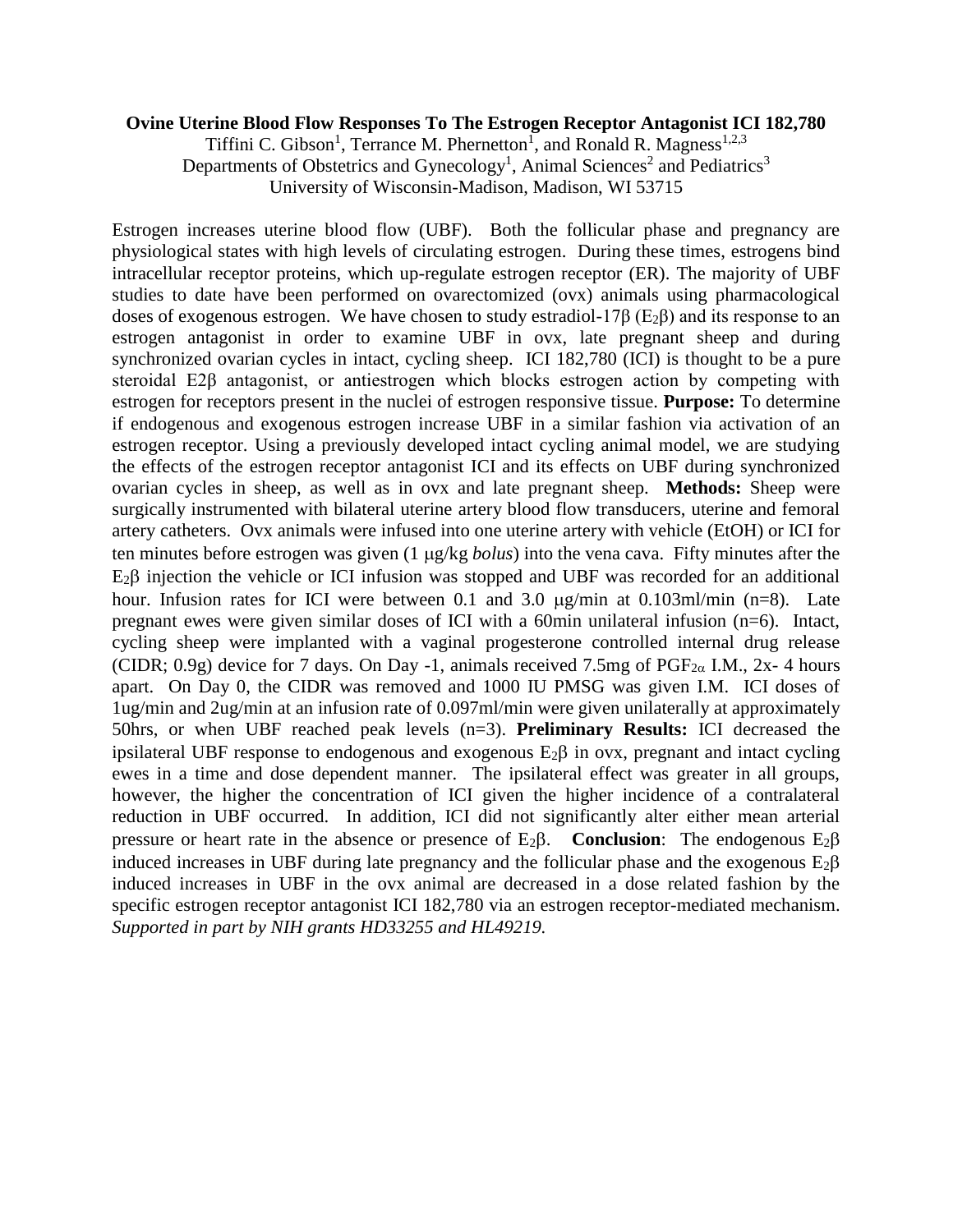# **Ovine Uterine Blood Flow Responses To The Estrogen Receptor Antagonist ICI 182,780**

Tiffini C. Gibson<sup>1</sup>, Terrance M. Phernetton<sup>1</sup>, and Ronald R. Magness<sup>1,2,3</sup> Departments of Obstetrics and Gynecology<sup>1</sup>, Animal Sciences<sup>2</sup> and Pediatrics<sup>3</sup> University of Wisconsin-Madison, Madison, WI 53715

Estrogen increases uterine blood flow (UBF). Both the follicular phase and pregnancy are physiological states with high levels of circulating estrogen. During these times, estrogens bind intracellular receptor proteins, which up-regulate estrogen receptor (ER). The majority of UBF studies to date have been performed on ovarectomized (ovx) animals using pharmacological doses of exogenous estrogen. We have chosen to study estradiol-17 $\beta$  (E<sub>2</sub> $\beta$ ) and its response to an estrogen antagonist in order to examine UBF in ovx, late pregnant sheep and during synchronized ovarian cycles in intact, cycling sheep. ICI 182,780 (ICI) is thought to be a pure steroidal E2β antagonist, or antiestrogen which blocks estrogen action by competing with estrogen for receptors present in the nuclei of estrogen responsive tissue. **Purpose:** To determine if endogenous and exogenous estrogen increase UBF in a similar fashion via activation of an estrogen receptor. Using a previously developed intact cycling animal model, we are studying the effects of the estrogen receptor antagonist ICI and its effects on UBF during synchronized ovarian cycles in sheep, as well as in ovx and late pregnant sheep. **Methods:** Sheep were surgically instrumented with bilateral uterine artery blood flow transducers, uterine and femoral artery catheters. Ovx animals were infused into one uterine artery with vehicle (EtOH) or ICI for ten minutes before estrogen was given (1  $\mu$ g/kg *bolus*) into the vena cava. Fifty minutes after the  $E_2\beta$  injection the vehicle or ICI infusion was stopped and UBF was recorded for an additional hour. Infusion rates for ICI were between 0.1 and 3.0  $\mu$ g/min at 0.103ml/min (n=8). Late pregnant ewes were given similar doses of ICI with a 60min unilateral infusion (n=6). Intact, cycling sheep were implanted with a vaginal progesterone controlled internal drug release (CIDR; 0.9g) device for 7 days. On Day -1, animals received 7.5mg of  $PGF_{2\alpha}$  I.M., 2x- 4 hours apart. On Day 0, the CIDR was removed and 1000 IU PMSG was given I.M. ICI doses of 1ug/min and 2ug/min at an infusion rate of 0.097ml/min were given unilaterally at approximately 50hrs, or when UBF reached peak levels (n=3). **Preliminary Results:** ICI decreased the ipsilateral UBF response to endogenous and exogenous  $E_2\beta$  in ovx, pregnant and intact cycling ewes in a time and dose dependent manner. The ipsilateral effect was greater in all groups, however, the higher the concentration of ICI given the higher incidence of a contralateral reduction in UBF occurred. In addition, ICI did not significantly alter either mean arterial pressure or heart rate in the absence or presence of  $E_2\beta$ . **Conclusion**: The endogenous  $E_2\beta$ induced increases in UBF during late pregnancy and the follicular phase and the exogenous  $E_2\beta$ induced increases in UBF in the ovx animal are decreased in a dose related fashion by the specific estrogen receptor antagonist ICI 182,780 via an estrogen receptor-mediated mechanism. *Supported in part by NIH grants HD33255 and HL49219.*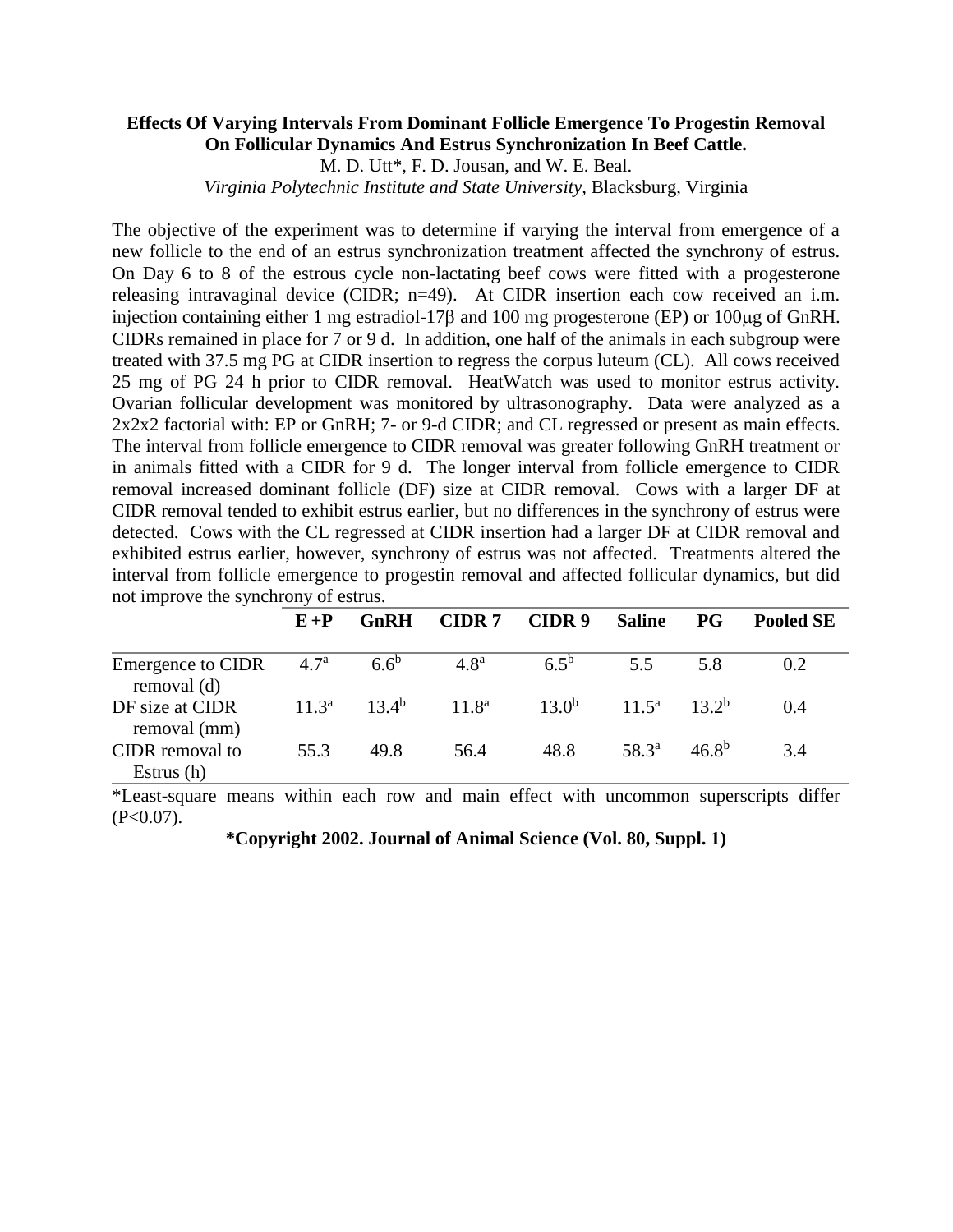# **Effects Of Varying Intervals From Dominant Follicle Emergence To Progestin Removal On Follicular Dynamics And Estrus Synchronization In Beef Cattle.**

M. D. Utt\*, F. D. Jousan, and W. E. Beal.

*Virginia Polytechnic Institute and State University,* Blacksburg, Virginia

The objective of the experiment was to determine if varying the interval from emergence of a new follicle to the end of an estrus synchronization treatment affected the synchrony of estrus. On Day 6 to 8 of the estrous cycle non-lactating beef cows were fitted with a progesterone releasing intravaginal device (CIDR; n=49). At CIDR insertion each cow received an i.m. injection containing either 1 mg estradiol-17 $\beta$  and 100 mg progesterone (EP) or 100 $\mu$ g of GnRH. CIDRs remained in place for 7 or 9 d. In addition, one half of the animals in each subgroup were treated with 37.5 mg PG at CIDR insertion to regress the corpus luteum (CL). All cows received 25 mg of PG 24 h prior to CIDR removal. HeatWatch was used to monitor estrus activity. Ovarian follicular development was monitored by ultrasonography. Data were analyzed as a 2x2x2 factorial with: EP or GnRH; 7- or 9-d CIDR; and CL regressed or present as main effects. The interval from follicle emergence to CIDR removal was greater following GnRH treatment or in animals fitted with a CIDR for 9 d. The longer interval from follicle emergence to CIDR removal increased dominant follicle (DF) size at CIDR removal. Cows with a larger DF at CIDR removal tended to exhibit estrus earlier, but no differences in the synchrony of estrus were detected. Cows with the CL regressed at CIDR insertion had a larger DF at CIDR removal and exhibited estrus earlier, however, synchrony of estrus was not affected. Treatments altered the interval from follicle emergence to progestin removal and affected follicular dynamics, but did not improve the synchrony of estrus.

|                                                | $E+P$    | <b>GnRH</b>    | CIDR <sub>7</sub> | CIDR 9     | <b>Saline</b>     | <b>PG</b>  | <b>Pooled SE</b> |
|------------------------------------------------|----------|----------------|-------------------|------------|-------------------|------------|------------------|
| Emergence to CIDR $4.7^{\circ}$<br>removal (d) |          | $6.6^{\circ}$  | 4.8 <sup>a</sup>  | $6.5^{b}$  | 5.5               | 5.8        | 0.2              |
| DF size at CIDR<br>removal (mm)                | $11.3^a$ | $13.4^{\rm b}$ | $11.8^{\rm a}$    | $13.0^{b}$ | $11.5^a$ $13.2^b$ |            | 0.4              |
| CIDR removal to<br>Estrus (h)                  | 55.3     | 49.8           | 56.4              | 48.8       | $58.3^{\circ}$    | $46.8^{b}$ | 3.4              |

\*Least-square means within each row and main effect with uncommon superscripts differ  $(P<0.07)$ .

**\*Copyright 2002. Journal of Animal Science (Vol. 80, Suppl. 1)**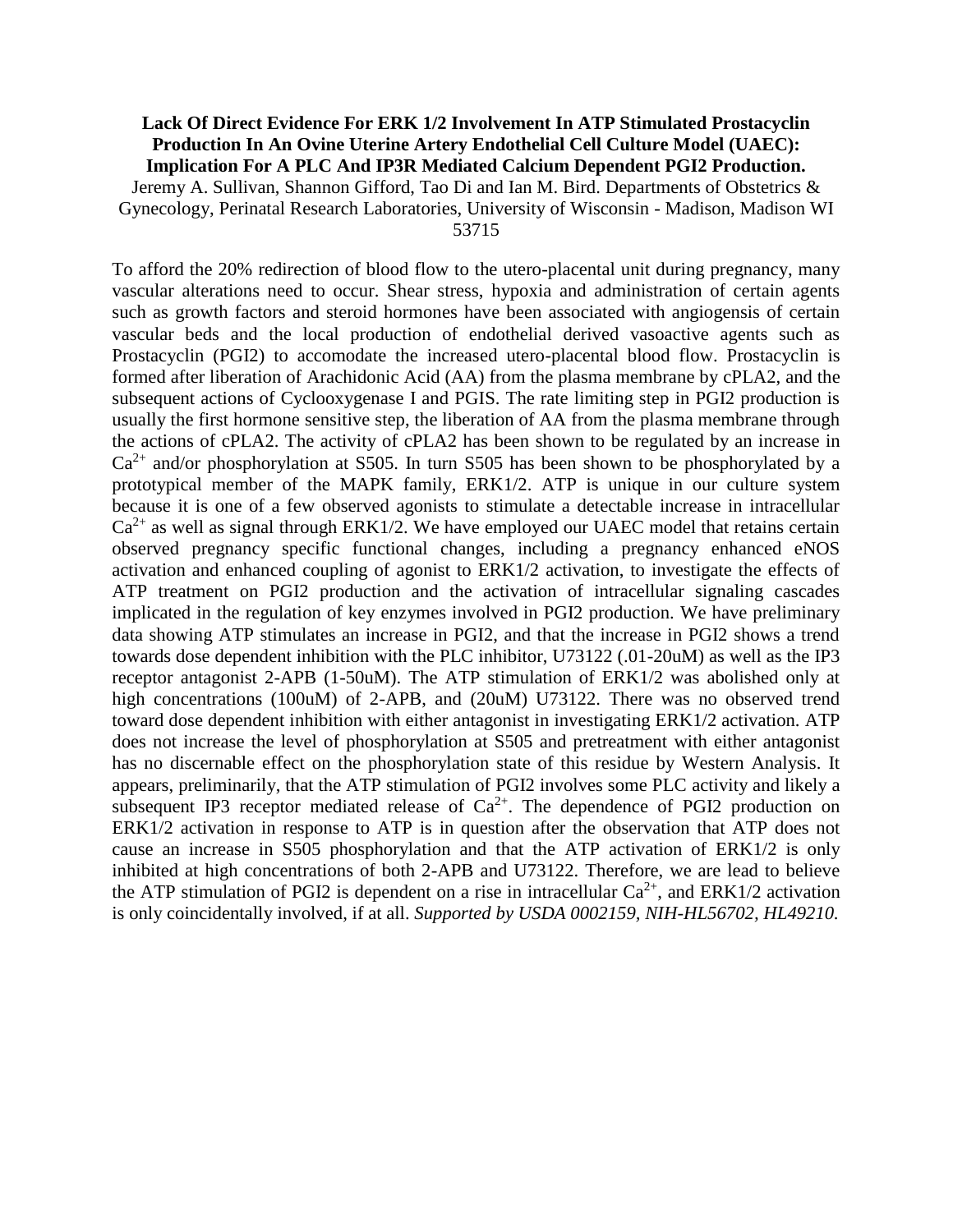# **Lack Of Direct Evidence For ERK 1/2 Involvement In ATP Stimulated Prostacyclin Production In An Ovine Uterine Artery Endothelial Cell Culture Model (UAEC): Implication For A PLC And IP3R Mediated Calcium Dependent PGI2 Production.** Jeremy A. Sullivan, Shannon Gifford, Tao Di and Ian M. Bird. Departments of Obstetrics &

Gynecology, Perinatal Research Laboratories, University of Wisconsin - Madison, Madison WI 53715

To afford the 20% redirection of blood flow to the utero-placental unit during pregnancy, many vascular alterations need to occur. Shear stress, hypoxia and administration of certain agents such as growth factors and steroid hormones have been associated with angiogensis of certain vascular beds and the local production of endothelial derived vasoactive agents such as Prostacyclin (PGI2) to accomodate the increased utero-placental blood flow. Prostacyclin is formed after liberation of Arachidonic Acid (AA) from the plasma membrane by cPLA2, and the subsequent actions of Cyclooxygenase I and PGIS. The rate limiting step in PGI2 production is usually the first hormone sensitive step, the liberation of AA from the plasma membrane through the actions of cPLA2. The activity of cPLA2 has been shown to be regulated by an increase in  $Ca^{2+}$  and/or phosphorylation at S505. In turn S505 has been shown to be phosphorylated by a prototypical member of the MAPK family, ERK1/2. ATP is unique in our culture system because it is one of a few observed agonists to stimulate a detectable increase in intracellular  $Ca<sup>2+</sup>$  as well as signal through ERK1/2. We have employed our UAEC model that retains certain observed pregnancy specific functional changes, including a pregnancy enhanced eNOS activation and enhanced coupling of agonist to ERK1/2 activation, to investigate the effects of ATP treatment on PGI2 production and the activation of intracellular signaling cascades implicated in the regulation of key enzymes involved in PGI2 production. We have preliminary data showing ATP stimulates an increase in PGI2, and that the increase in PGI2 shows a trend towards dose dependent inhibition with the PLC inhibitor, U73122 (.01-20uM) as well as the IP3 receptor antagonist 2-APB (1-50uM). The ATP stimulation of ERK1/2 was abolished only at high concentrations (100uM) of 2-APB, and (20uM) U73122. There was no observed trend toward dose dependent inhibition with either antagonist in investigating ERK1/2 activation. ATP does not increase the level of phosphorylation at S505 and pretreatment with either antagonist has no discernable effect on the phosphorylation state of this residue by Western Analysis. It appears, preliminarily, that the ATP stimulation of PGI2 involves some PLC activity and likely a subsequent IP3 receptor mediated release of  $Ca^{2+}$ . The dependence of PGI2 production on ERK1/2 activation in response to ATP is in question after the observation that ATP does not cause an increase in S505 phosphorylation and that the ATP activation of ERK1/2 is only inhibited at high concentrations of both 2-APB and U73122. Therefore, we are lead to believe the ATP stimulation of PGI2 is dependent on a rise in intracellular  $Ca^{2+}$ , and ERK1/2 activation is only coincidentally involved, if at all. *Supported by USDA 0002159, NIH-HL56702, HL49210.*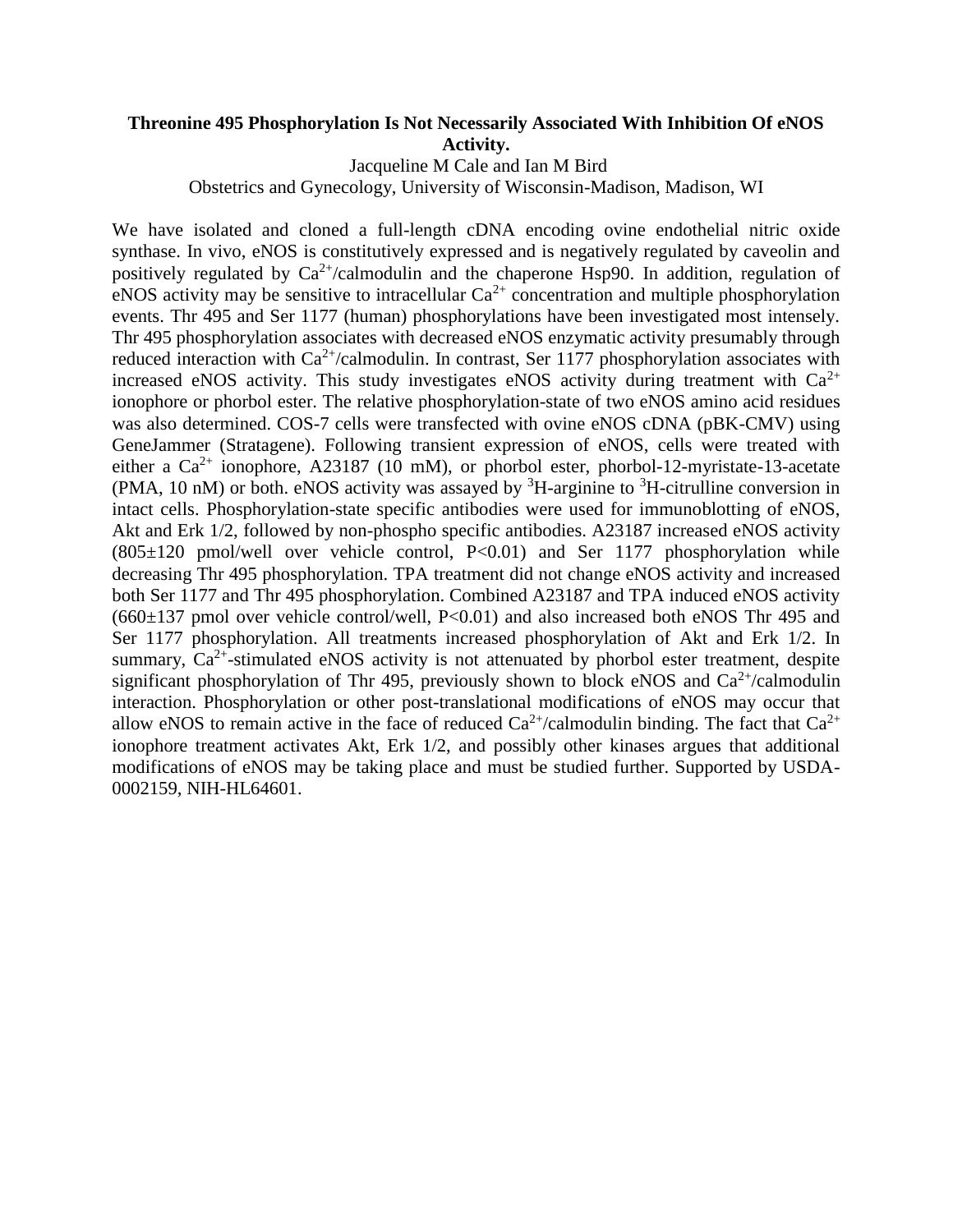# **Threonine 495 Phosphorylation Is Not Necessarily Associated With Inhibition Of eNOS Activity.**

Jacqueline M Cale and Ian M Bird

Obstetrics and Gynecology, University of Wisconsin-Madison, Madison, WI

We have isolated and cloned a full-length cDNA encoding ovine endothelial nitric oxide synthase. In vivo, eNOS is constitutively expressed and is negatively regulated by caveolin and positively regulated by  $Ca^{2+}/c$ almodulin and the chaperone Hsp90. In addition, regulation of eNOS activity may be sensitive to intracellular  $Ca^{2+}$  concentration and multiple phosphorylation events. Thr 495 and Ser 1177 (human) phosphorylations have been investigated most intensely. Thr 495 phosphorylation associates with decreased eNOS enzymatic activity presumably through reduced interaction with  $Ca^{2+}/c$ almodulin. In contrast, Ser 1177 phosphorylation associates with increased eNOS activity. This study investigates eNOS activity during treatment with  $Ca^{2+}$ ionophore or phorbol ester. The relative phosphorylation-state of two eNOS amino acid residues was also determined. COS-7 cells were transfected with ovine eNOS cDNA (pBK-CMV) using GeneJammer (Stratagene). Following transient expression of eNOS, cells were treated with either a  $Ca^{2+}$  ionophore, A23187 (10 mM), or phorbol ester, phorbol-12-myristate-13-acetate (PMA, 10 nM) or both. eNOS activity was assayed by  ${}^{3}H$ -arginine to  ${}^{3}H$ -citrulline conversion in intact cells. Phosphorylation-state specific antibodies were used for immunoblotting of eNOS, Akt and Erk 1/2, followed by non-phospho specific antibodies. A23187 increased eNOS activity  $(805\pm120 \text{ pmol/well over vehicle control}, P<0.01)$  and Ser 1177 phosphorylation while decreasing Thr 495 phosphorylation. TPA treatment did not change eNOS activity and increased both Ser 1177 and Thr 495 phosphorylation. Combined A23187 and TPA induced eNOS activity  $(660±137 \text{ pmol over vehicle control/well, P<0.01})$  and also increased both eNOS Thr 495 and Ser 1177 phosphorylation. All treatments increased phosphorylation of Akt and Erk 1/2. In summary,  $Ca^{2+}$ -stimulated eNOS activity is not attenuated by phorbol ester treatment, despite significant phosphorylation of Thr 495, previously shown to block eNOS and  $Ca^{2+}/c$ almodulin interaction. Phosphorylation or other post-translational modifications of eNOS may occur that allow eNOS to remain active in the face of reduced  $Ca^{2+}/c$ almodulin binding. The fact that  $Ca^{2+}$ ionophore treatment activates Akt, Erk 1/2, and possibly other kinases argues that additional modifications of eNOS may be taking place and must be studied further. Supported by USDA-0002159, NIH-HL64601.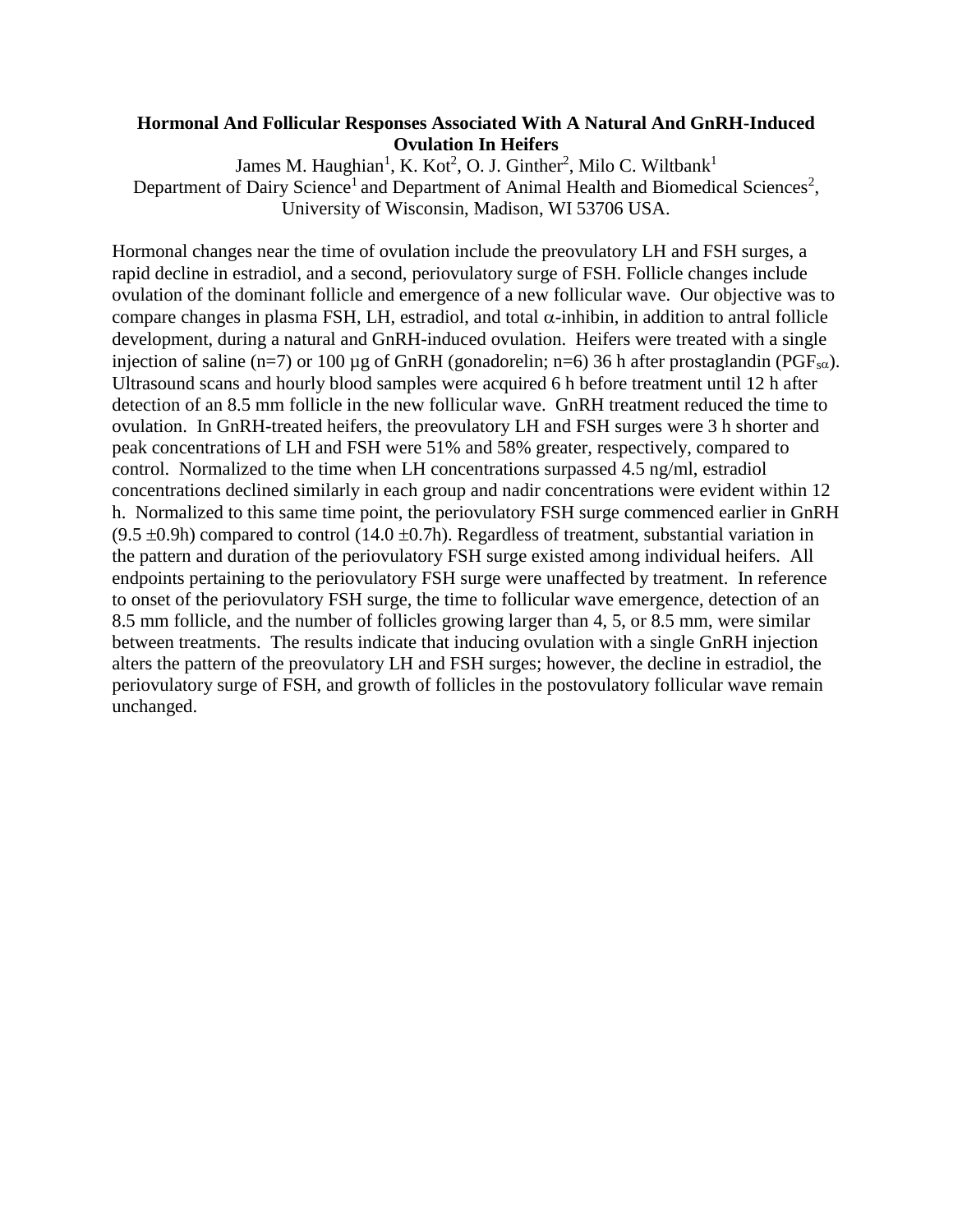# **Hormonal And Follicular Responses Associated With A Natural And GnRH-Induced Ovulation In Heifers**

James M. Haughian<sup>1</sup>, K. Kot<sup>2</sup>, O. J. Ginther<sup>2</sup>, Milo C. Wiltbank<sup>1</sup> Department of Dairy Science<sup>1</sup> and Department of Animal Health and Biomedical Sciences<sup>2</sup>, University of Wisconsin, Madison, WI 53706 USA.

Hormonal changes near the time of ovulation include the preovulatory LH and FSH surges, a rapid decline in estradiol, and a second, periovulatory surge of FSH. Follicle changes include ovulation of the dominant follicle and emergence of a new follicular wave. Our objective was to compare changes in plasma FSH, LH, estradiol, and total  $\alpha$ -inhibin, in addition to antral follicle development, during a natural and GnRH-induced ovulation. Heifers were treated with a single injection of saline (n=7) or 100 µg of GnRH (gonadorelin; n=6) 36 h after prostaglandin (PGF<sub>sα</sub>). Ultrasound scans and hourly blood samples were acquired 6 h before treatment until 12 h after detection of an 8.5 mm follicle in the new follicular wave. GnRH treatment reduced the time to ovulation. In GnRH-treated heifers, the preovulatory LH and FSH surges were 3 h shorter and peak concentrations of LH and FSH were 51% and 58% greater, respectively, compared to control. Normalized to the time when LH concentrations surpassed 4.5 ng/ml, estradiol concentrations declined similarly in each group and nadir concentrations were evident within 12 h. Normalized to this same time point, the periovulatory FSH surge commenced earlier in GnRH  $(9.5 \pm 0.9h)$  compared to control (14.0  $\pm 0.7h$ ). Regardless of treatment, substantial variation in the pattern and duration of the periovulatory FSH surge existed among individual heifers. All endpoints pertaining to the periovulatory FSH surge were unaffected by treatment. In reference to onset of the periovulatory FSH surge, the time to follicular wave emergence, detection of an 8.5 mm follicle, and the number of follicles growing larger than 4, 5, or 8.5 mm, were similar between treatments. The results indicate that inducing ovulation with a single GnRH injection alters the pattern of the preovulatory LH and FSH surges; however, the decline in estradiol, the periovulatory surge of FSH, and growth of follicles in the postovulatory follicular wave remain unchanged.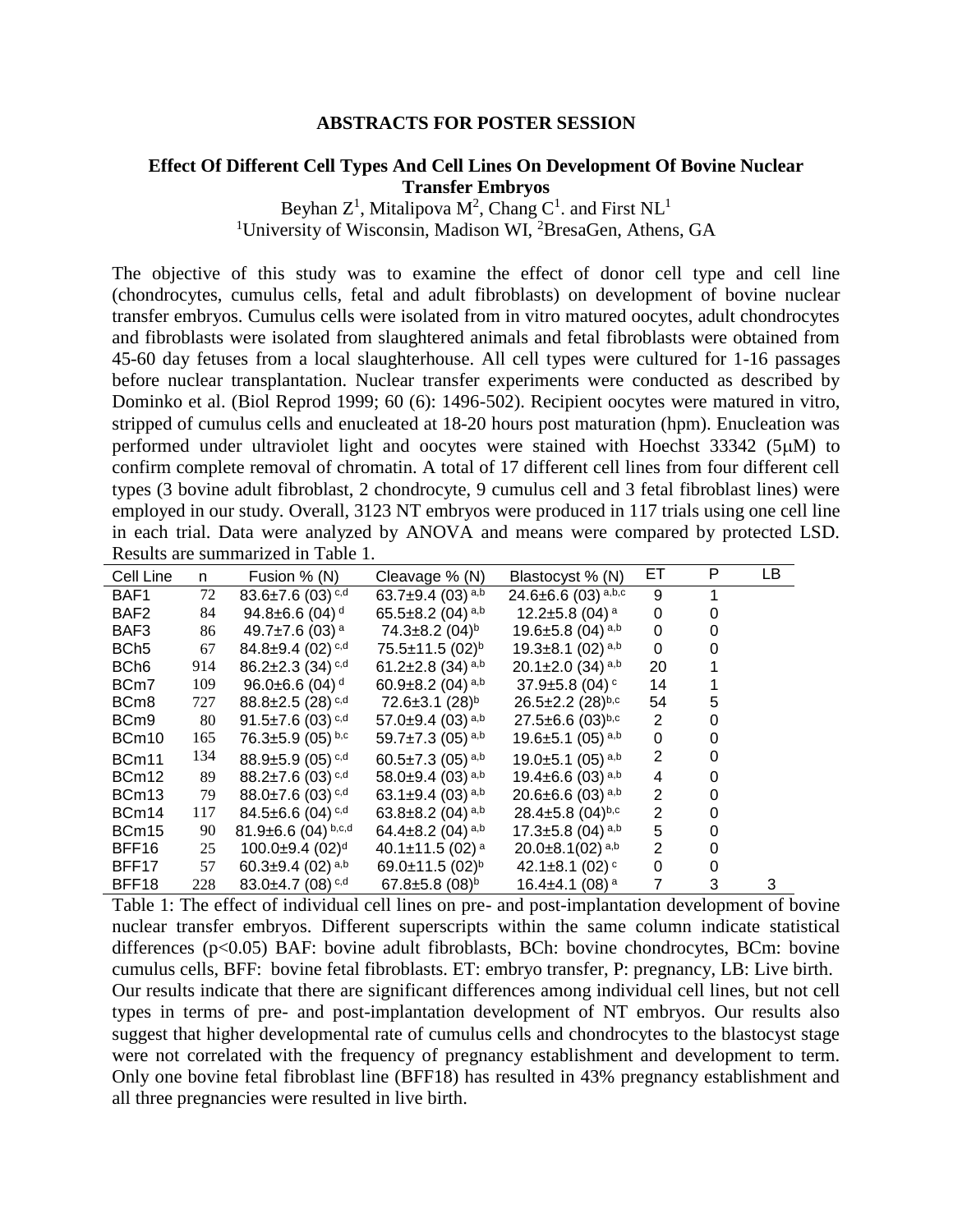#### **ABSTRACTS FOR POSTER SESSION**

#### **Effect Of Different Cell Types And Cell Lines On Development Of Bovine Nuclear Transfer Embryos**

Beyhan  $Z^1$ , Mitalipova M<sup>2</sup>, Chang C<sup>1</sup>. and First NL<sup>1</sup> <sup>1</sup>University of Wisconsin, Madison WI, <sup>2</sup>BresaGen, Athens, GA

The objective of this study was to examine the effect of donor cell type and cell line (chondrocytes, cumulus cells, fetal and adult fibroblasts) on development of bovine nuclear transfer embryos. Cumulus cells were isolated from in vitro matured oocytes, adult chondrocytes and fibroblasts were isolated from slaughtered animals and fetal fibroblasts were obtained from 45-60 day fetuses from a local slaughterhouse. All cell types were cultured for 1-16 passages before nuclear transplantation. Nuclear transfer experiments were conducted as described by Dominko et al. (Biol Reprod 1999; 60 (6): 1496-502). Recipient oocytes were matured in vitro, stripped of cumulus cells and enucleated at 18-20 hours post maturation (hpm). Enucleation was performed under ultraviolet light and oocytes were stained with Hoechst  $33342$  (5 $\mu$ M) to confirm complete removal of chromatin. A total of 17 different cell lines from four different cell types (3 bovine adult fibroblast, 2 chondrocyte, 9 cumulus cell and 3 fetal fibroblast lines) were employed in our study. Overall, 3123 NT embryos were produced in 117 trials using one cell line in each trial. Data were analyzed by ANOVA and means were compared by protected LSD. Results are summarized in Table 1.

| Cell Line         | n.  | Fusion % (N)                       | Cleavage % (N)                     | Blastocyst % (N)                   | ET.            | P | LB |
|-------------------|-----|------------------------------------|------------------------------------|------------------------------------|----------------|---|----|
| BAF1              | 72  | 83.6±7.6 (03) $c,d$                | 63.7 $\pm$ 9.4 (03) <sup>a,b</sup> | 24.6 $\pm$ 6.6 (03) a,b,c          | 9              | 1 |    |
| BAF <sub>2</sub>  | 84  | 94.8 $\pm$ 6.6 (04) <sup>d</sup>   | 65.5 $\pm$ 8.2 (04) <sup>a,b</sup> | 12.2±5.8 (04) $^{\rm a}$           | 0              | 0 |    |
| BAF3              | 86  | 49.7±7.6 (03) $^{\rm a}$           | 74.3±8.2 (04) <sup>b</sup>         | 19.6 $\pm$ 5.8 (04) a,b            | 0              | 0 |    |
| BCh <sub>5</sub>  | 67  | $84.8 \pm 9.4$ (02) $c,d$          | $75.5 \pm 11.5 (02)^{b}$           | 19.3 $\pm$ 8.1 (02) a,b            | 0              | 0 |    |
| BCh <sub>6</sub>  | 914 | $86.2 \pm 2.3$ (34) $c,d$          | 61.2 $\pm$ 2.8 (34) <sup>a,b</sup> | 20.1 $\pm$ 2.0 (34) <sup>a,b</sup> | 20             |   |    |
| BCm7              | 109 | 96.0±6.6 (04) <sup>d</sup>         | 60.9 $\pm$ 8.2 (04) <sup>a,b</sup> | $37.9 \pm 5.8$ (04) <sup>c</sup>   | 14             |   |    |
| BC <sub>m</sub> 8 | 727 | $88.8 \pm 2.5$ (28) $c,d$          | 72.6±3.1 (28) <sup>b</sup>         | $26.5 \pm 2.2$ (28)b,c             | 54             | 5 |    |
| BCm9              | 80  | 91.5 $\pm$ 7.6 (03) $c, d$         | 57.0 $\pm$ 9.4 (03) <sup>a,b</sup> | $27.5 \pm 6.6$ (03)b,c             | 2              | 0 |    |
| BCm10             | 165 | $76.3 \pm 5.9$ (05) b,c            | 59.7 $\pm$ 7.3 (05) <sup>a,b</sup> | 19.6 $\pm$ 5.1 (05) <sup>a,b</sup> | 0              | 0 |    |
| BCm11             | 134 | $88.9 \pm 5.9$ (05) $c,d$          | 60.5 $\pm$ 7.3 (05) <sup>a,b</sup> | 19.0 $\pm$ 5.1 (05) <sup>a,b</sup> | 2              | 0 |    |
| BCm12             | 89  | $88.2 \pm 7.6$ (03) $c,d$          | 58.0 $\pm$ 9.4 (03) <sup>a,b</sup> | 19.4 $\pm$ 6.6 (03) <sup>a,b</sup> | 4              | 0 |    |
| BCm13             | 79  | $88.0\pm7.6$ (03) $c,d$            | 63.1 $\pm$ 9.4 (03) <sup>a,b</sup> | 20.6 $\pm$ 6.6 (03) <sup>a,b</sup> | $\overline{2}$ |   |    |
| BCm14             | 117 | $84.5 \pm 6.6$ (04) $c,d$          | 63.8 $\pm$ 8.2 (04) <sup>a,b</sup> | $28.4 \pm 5.8$ (04)b,c             | $\overline{2}$ |   |    |
| BCm15             | 90  | 81.9 $\pm$ 6.6 (04) b,c,d          | 64.4 $\pm$ 8.2 (04) <sup>a,b</sup> | 17.3 $\pm$ 5.8 (04) <sup>a,b</sup> | 5              |   |    |
| BFF16             | 25  | $100.0 \pm 9.4~(02)^d$             | 40.1 $\pm$ 11.5 (02) <sup>a</sup>  | $20.0\pm8.1(02)$ <sup>a,b</sup>    | $\overline{2}$ |   |    |
| BFF17             | 57  | 60.3 $\pm$ 9.4 (02) <sup>a,b</sup> | 69.0±11.5 $(02)^{b}$               | 42.1 $\pm$ 8.1 (02) $\degree$      | 0              | 0 |    |
| BFF18             | 228 | 83.0 $\pm$ 4.7 (08) c,d            | 67.8 $\pm$ 5.8 (08) <sup>b</sup>   | 16.4 $\pm$ 4.1 (08) <sup>a</sup>   | 7              | 3 | 3  |

Table 1: The effect of individual cell lines on pre- and post-implantation development of bovine nuclear transfer embryos. Different superscripts within the same column indicate statistical differences (p<0.05) BAF: bovine adult fibroblasts, BCh: bovine chondrocytes, BCm: bovine cumulus cells, BFF: bovine fetal fibroblasts. ET: embryo transfer, P: pregnancy, LB: Live birth. Our results indicate that there are significant differences among individual cell lines, but not cell types in terms of pre- and post-implantation development of NT embryos. Our results also suggest that higher developmental rate of cumulus cells and chondrocytes to the blastocyst stage were not correlated with the frequency of pregnancy establishment and development to term. Only one bovine fetal fibroblast line (BFF18) has resulted in 43% pregnancy establishment and all three pregnancies were resulted in live birth.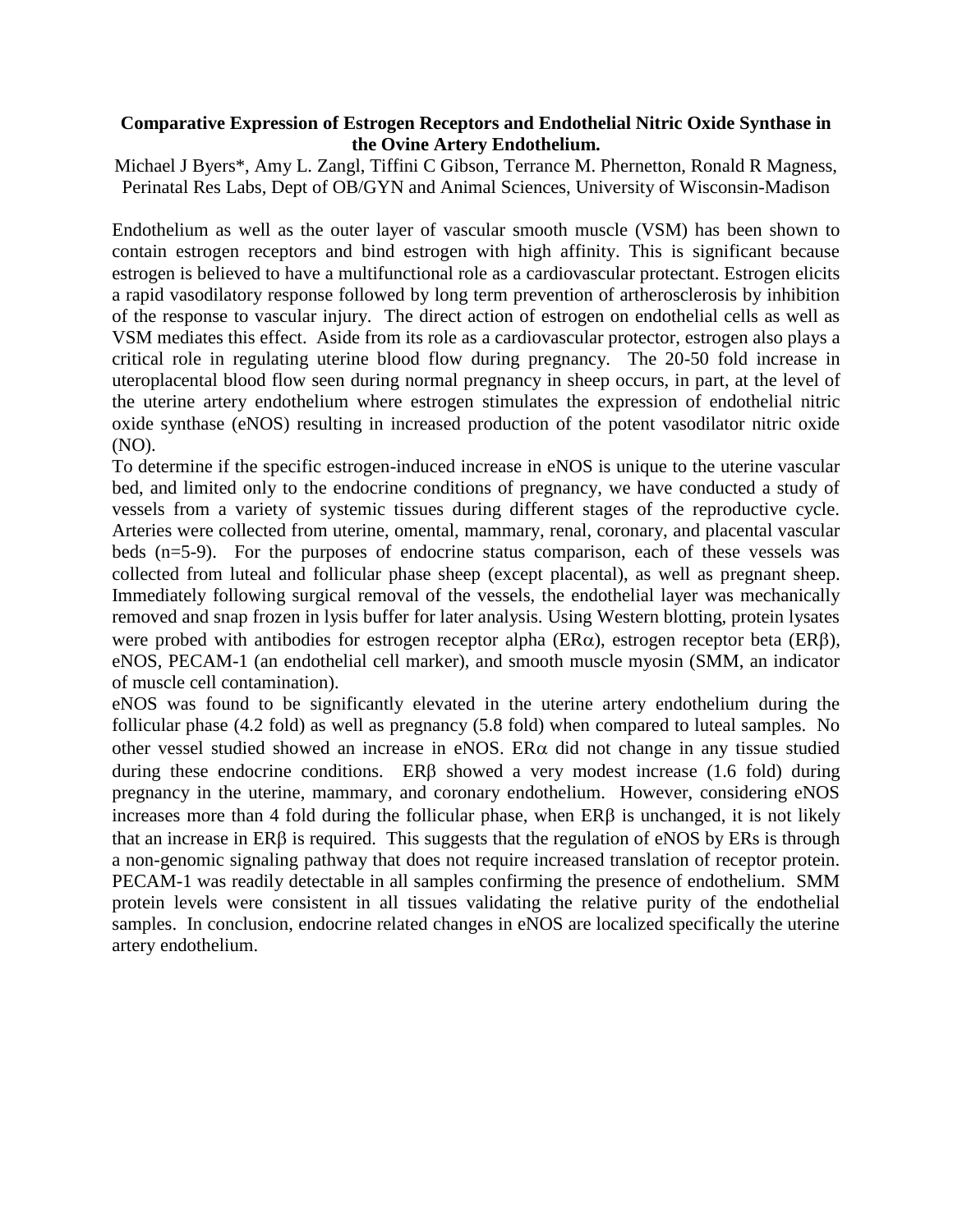# **Comparative Expression of Estrogen Receptors and Endothelial Nitric Oxide Synthase in the Ovine Artery Endothelium.**

Michael J Byers\*, Amy L. Zangl, Tiffini C Gibson, Terrance M. Phernetton, Ronald R Magness, Perinatal Res Labs, Dept of OB/GYN and Animal Sciences, University of Wisconsin-Madison

Endothelium as well as the outer layer of vascular smooth muscle (VSM) has been shown to contain estrogen receptors and bind estrogen with high affinity. This is significant because estrogen is believed to have a multifunctional role as a cardiovascular protectant. Estrogen elicits a rapid vasodilatory response followed by long term prevention of artherosclerosis by inhibition of the response to vascular injury. The direct action of estrogen on endothelial cells as well as VSM mediates this effect. Aside from its role as a cardiovascular protector, estrogen also plays a critical role in regulating uterine blood flow during pregnancy. The 20-50 fold increase in uteroplacental blood flow seen during normal pregnancy in sheep occurs, in part, at the level of the uterine artery endothelium where estrogen stimulates the expression of endothelial nitric oxide synthase (eNOS) resulting in increased production of the potent vasodilator nitric oxide (NO).

To determine if the specific estrogen-induced increase in eNOS is unique to the uterine vascular bed, and limited only to the endocrine conditions of pregnancy, we have conducted a study of vessels from a variety of systemic tissues during different stages of the reproductive cycle. Arteries were collected from uterine, omental, mammary, renal, coronary, and placental vascular beds (n=5-9). For the purposes of endocrine status comparison, each of these vessels was collected from luteal and follicular phase sheep (except placental), as well as pregnant sheep. Immediately following surgical removal of the vessels, the endothelial layer was mechanically removed and snap frozen in lysis buffer for later analysis. Using Western blotting, protein lysates were probed with antibodies for estrogen receptor alpha ( $ER\alpha$ ), estrogen receptor beta ( $ER\beta$ ), eNOS, PECAM-1 (an endothelial cell marker), and smooth muscle myosin (SMM, an indicator of muscle cell contamination).

eNOS was found to be significantly elevated in the uterine artery endothelium during the follicular phase (4.2 fold) as well as pregnancy (5.8 fold) when compared to luteal samples. No other vessel studied showed an increase in eNOS. ER $\alpha$  did not change in any tissue studied during these endocrine conditions.  $ER\beta$  showed a very modest increase (1.6 fold) during pregnancy in the uterine, mammary, and coronary endothelium. However, considering eNOS increases more than 4 fold during the follicular phase, when  $ER\beta$  is unchanged, it is not likely that an increase in  $ER\beta$  is required. This suggests that the regulation of eNOS by ERs is through a non-genomic signaling pathway that does not require increased translation of receptor protein. PECAM-1 was readily detectable in all samples confirming the presence of endothelium. SMM protein levels were consistent in all tissues validating the relative purity of the endothelial samples. In conclusion, endocrine related changes in eNOS are localized specifically the uterine artery endothelium.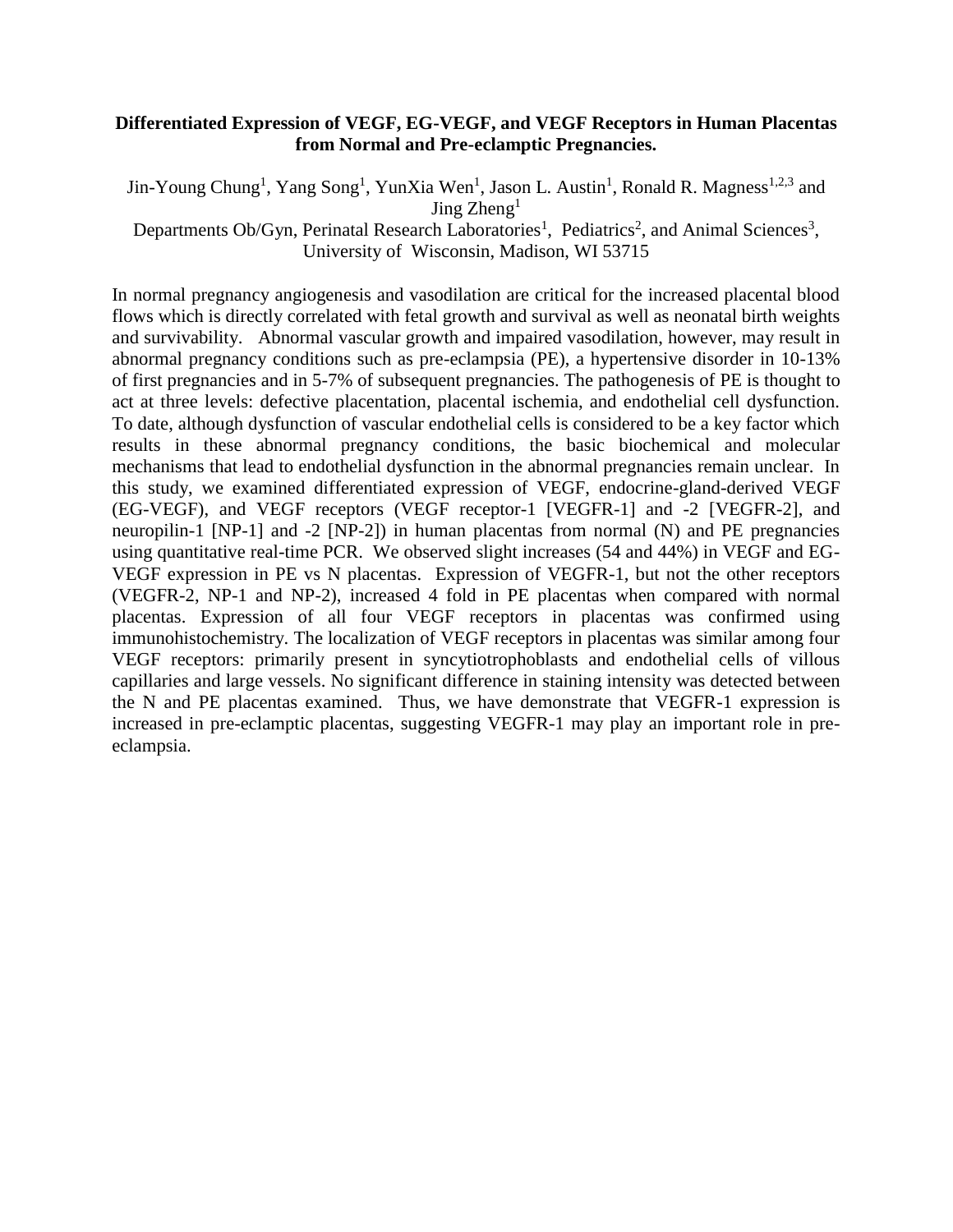# **Differentiated Expression of VEGF, EG-VEGF, and VEGF Receptors in Human Placentas from Normal and Pre-eclamptic Pregnancies.**

Jin-Young Chung<sup>1</sup>, Yang Song<sup>1</sup>, YunXia Wen<sup>1</sup>, Jason L. Austin<sup>1</sup>, Ronald R. Magness<sup>1,2,3</sup> and Jing Zheng<sup>1</sup> Departments Ob/Gyn, Perinatal Research Laboratories<sup>1</sup>, Pediatrics<sup>2</sup>, and Animal Sciences<sup>3</sup>, University of Wisconsin, Madison, WI 53715

In normal pregnancy angiogenesis and vasodilation are critical for the increased placental blood flows which is directly correlated with fetal growth and survival as well as neonatal birth weights and survivability. Abnormal vascular growth and impaired vasodilation, however, may result in abnormal pregnancy conditions such as pre-eclampsia (PE), a hypertensive disorder in 10-13% of first pregnancies and in 5-7% of subsequent pregnancies. The pathogenesis of PE is thought to act at three levels: defective placentation, placental ischemia, and endothelial cell dysfunction. To date, although dysfunction of vascular endothelial cells is considered to be a key factor which results in these abnormal pregnancy conditions, the basic biochemical and molecular mechanisms that lead to endothelial dysfunction in the abnormal pregnancies remain unclear. In this study, we examined differentiated expression of VEGF, endocrine-gland-derived VEGF (EG-VEGF), and VEGF receptors (VEGF receptor-1 [VEGFR-1] and -2 [VEGFR-2], and neuropilin-1 [NP-1] and -2 [NP-2]) in human placentas from normal (N) and PE pregnancies using quantitative real-time PCR. We observed slight increases (54 and 44%) in VEGF and EG-VEGF expression in PE vs N placentas. Expression of VEGFR-1, but not the other receptors (VEGFR-2, NP-1 and NP-2), increased 4 fold in PE placentas when compared with normal placentas. Expression of all four VEGF receptors in placentas was confirmed using immunohistochemistry. The localization of VEGF receptors in placentas was similar among four VEGF receptors: primarily present in syncytiotrophoblasts and endothelial cells of villous capillaries and large vessels. No significant difference in staining intensity was detected between the N and PE placentas examined. Thus, we have demonstrate that VEGFR-1 expression is increased in pre-eclamptic placentas, suggesting VEGFR-1 may play an important role in preeclampsia.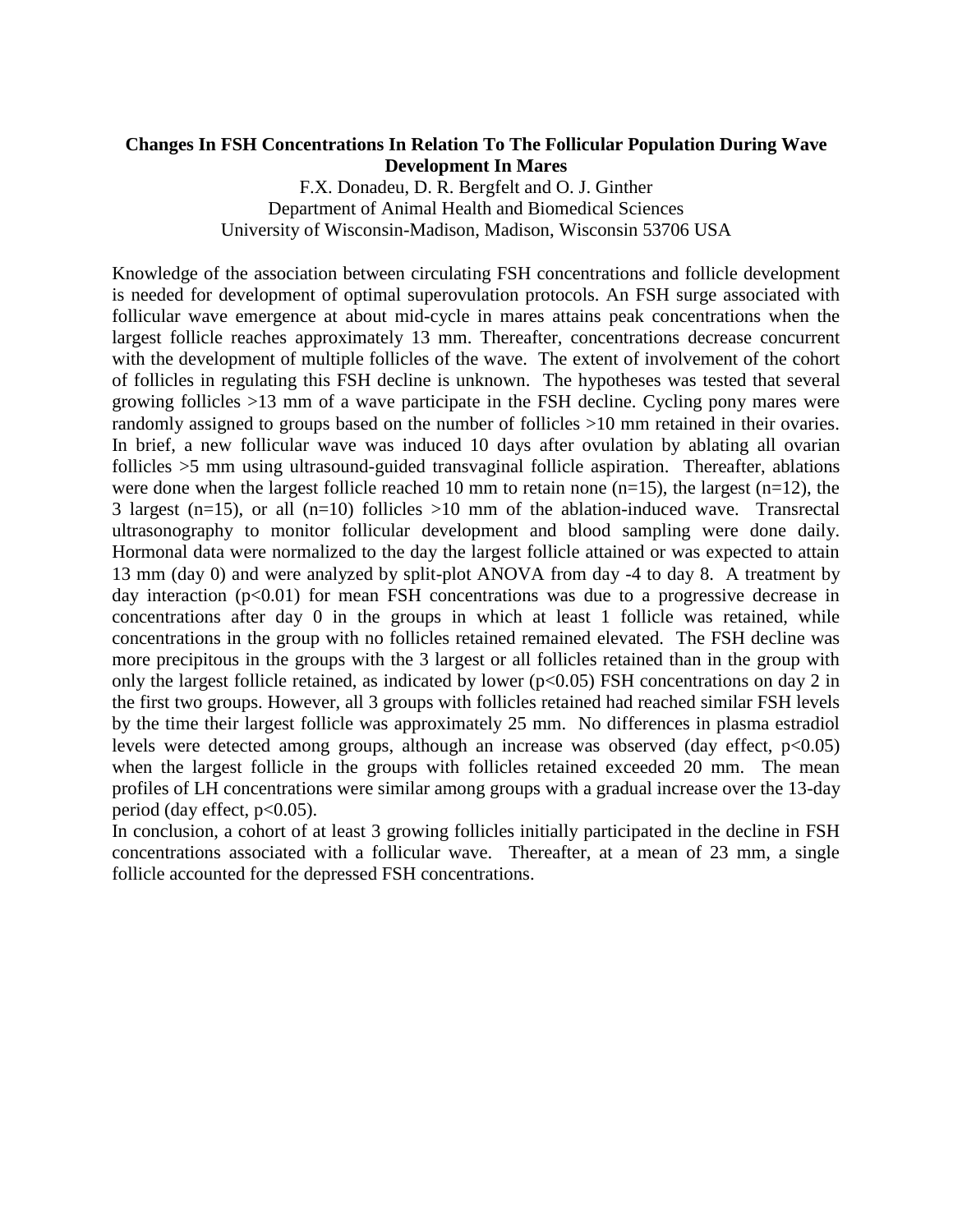# **Changes In FSH Concentrations In Relation To The Follicular Population During Wave Development In Mares**

F.X. Donadeu, D. R. Bergfelt and O. J. Ginther Department of Animal Health and Biomedical Sciences University of Wisconsin-Madison, Madison, Wisconsin 53706 USA

Knowledge of the association between circulating FSH concentrations and follicle development is needed for development of optimal superovulation protocols. An FSH surge associated with follicular wave emergence at about mid-cycle in mares attains peak concentrations when the largest follicle reaches approximately 13 mm. Thereafter, concentrations decrease concurrent with the development of multiple follicles of the wave. The extent of involvement of the cohort of follicles in regulating this FSH decline is unknown. The hypotheses was tested that several growing follicles >13 mm of a wave participate in the FSH decline. Cycling pony mares were randomly assigned to groups based on the number of follicles >10 mm retained in their ovaries. In brief, a new follicular wave was induced 10 days after ovulation by ablating all ovarian follicles  $>5$  mm using ultrasound-guided transvaginal follicle aspiration. Thereafter, ablations were done when the largest follicle reached 10 mm to retain none  $(n=15)$ , the largest  $(n=12)$ , the 3 largest (n=15), or all (n=10) follicles  $>10$  mm of the ablation-induced wave. Transrectal ultrasonography to monitor follicular development and blood sampling were done daily. Hormonal data were normalized to the day the largest follicle attained or was expected to attain 13 mm (day 0) and were analyzed by split-plot ANOVA from day -4 to day 8. A treatment by day interaction  $(p<0.01)$  for mean FSH concentrations was due to a progressive decrease in concentrations after day 0 in the groups in which at least 1 follicle was retained, while concentrations in the group with no follicles retained remained elevated. The FSH decline was more precipitous in the groups with the 3 largest or all follicles retained than in the group with only the largest follicle retained, as indicated by lower ( $p<0.05$ ) FSH concentrations on day 2 in the first two groups. However, all 3 groups with follicles retained had reached similar FSH levels by the time their largest follicle was approximately 25 mm. No differences in plasma estradiol levels were detected among groups, although an increase was observed (day effect,  $p<0.05$ ) when the largest follicle in the groups with follicles retained exceeded 20 mm. The mean profiles of LH concentrations were similar among groups with a gradual increase over the 13-day period (day effect,  $p<0.05$ ).

In conclusion, a cohort of at least 3 growing follicles initially participated in the decline in FSH concentrations associated with a follicular wave. Thereafter, at a mean of 23 mm, a single follicle accounted for the depressed FSH concentrations.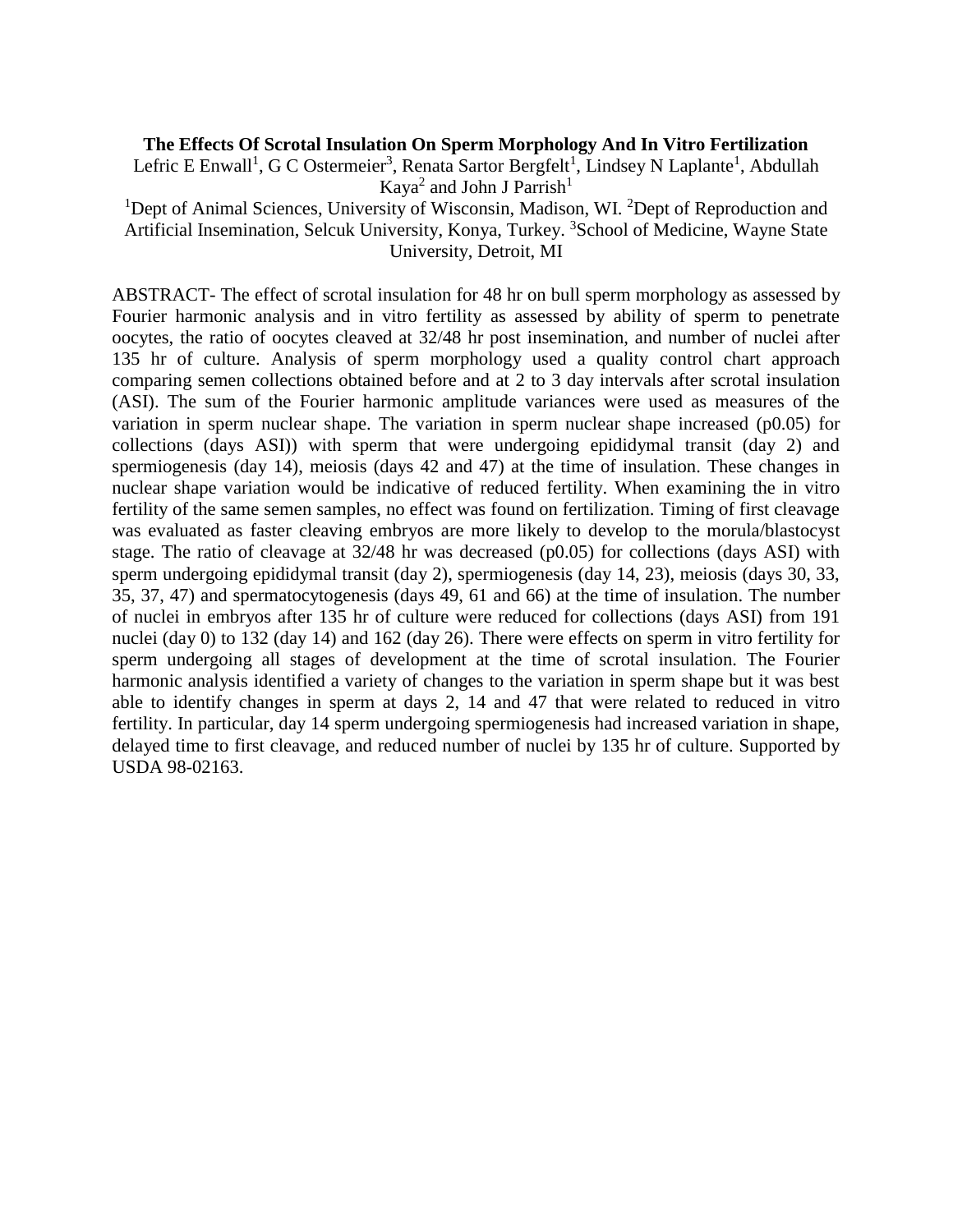#### **The Effects Of Scrotal Insulation On Sperm Morphology And In Vitro Fertilization**

Lefric E Enwall<sup>1</sup>, G C Ostermeier<sup>3</sup>, Renata Sartor Bergfelt<sup>1</sup>, Lindsey N Laplante<sup>1</sup>, Abdullah Kaya<sup>2</sup> and John J Parrish<sup>1</sup>

<sup>1</sup>Dept of Animal Sciences, University of Wisconsin, Madison, WI. <sup>2</sup>Dept of Reproduction and Artificial Insemination, Selcuk University, Konya, Turkey. <sup>3</sup>School of Medicine, Wayne State University, Detroit, MI

ABSTRACT- The effect of scrotal insulation for 48 hr on bull sperm morphology as assessed by Fourier harmonic analysis and in vitro fertility as assessed by ability of sperm to penetrate oocytes, the ratio of oocytes cleaved at 32/48 hr post insemination, and number of nuclei after 135 hr of culture. Analysis of sperm morphology used a quality control chart approach comparing semen collections obtained before and at 2 to 3 day intervals after scrotal insulation (ASI). The sum of the Fourier harmonic amplitude variances were used as measures of the variation in sperm nuclear shape. The variation in sperm nuclear shape increased (p0.05) for collections (days ASI)) with sperm that were undergoing epididymal transit (day 2) and spermiogenesis (day 14), meiosis (days 42 and 47) at the time of insulation. These changes in nuclear shape variation would be indicative of reduced fertility. When examining the in vitro fertility of the same semen samples, no effect was found on fertilization. Timing of first cleavage was evaluated as faster cleaving embryos are more likely to develop to the morula/blastocyst stage. The ratio of cleavage at 32/48 hr was decreased (p0.05) for collections (days ASI) with sperm undergoing epididymal transit (day 2), spermiogenesis (day 14, 23), meiosis (days 30, 33, 35, 37, 47) and spermatocytogenesis (days 49, 61 and 66) at the time of insulation. The number of nuclei in embryos after 135 hr of culture were reduced for collections (days ASI) from 191 nuclei (day 0) to 132 (day 14) and 162 (day 26). There were effects on sperm in vitro fertility for sperm undergoing all stages of development at the time of scrotal insulation. The Fourier harmonic analysis identified a variety of changes to the variation in sperm shape but it was best able to identify changes in sperm at days 2, 14 and 47 that were related to reduced in vitro fertility. In particular, day 14 sperm undergoing spermiogenesis had increased variation in shape, delayed time to first cleavage, and reduced number of nuclei by 135 hr of culture. Supported by USDA 98-02163.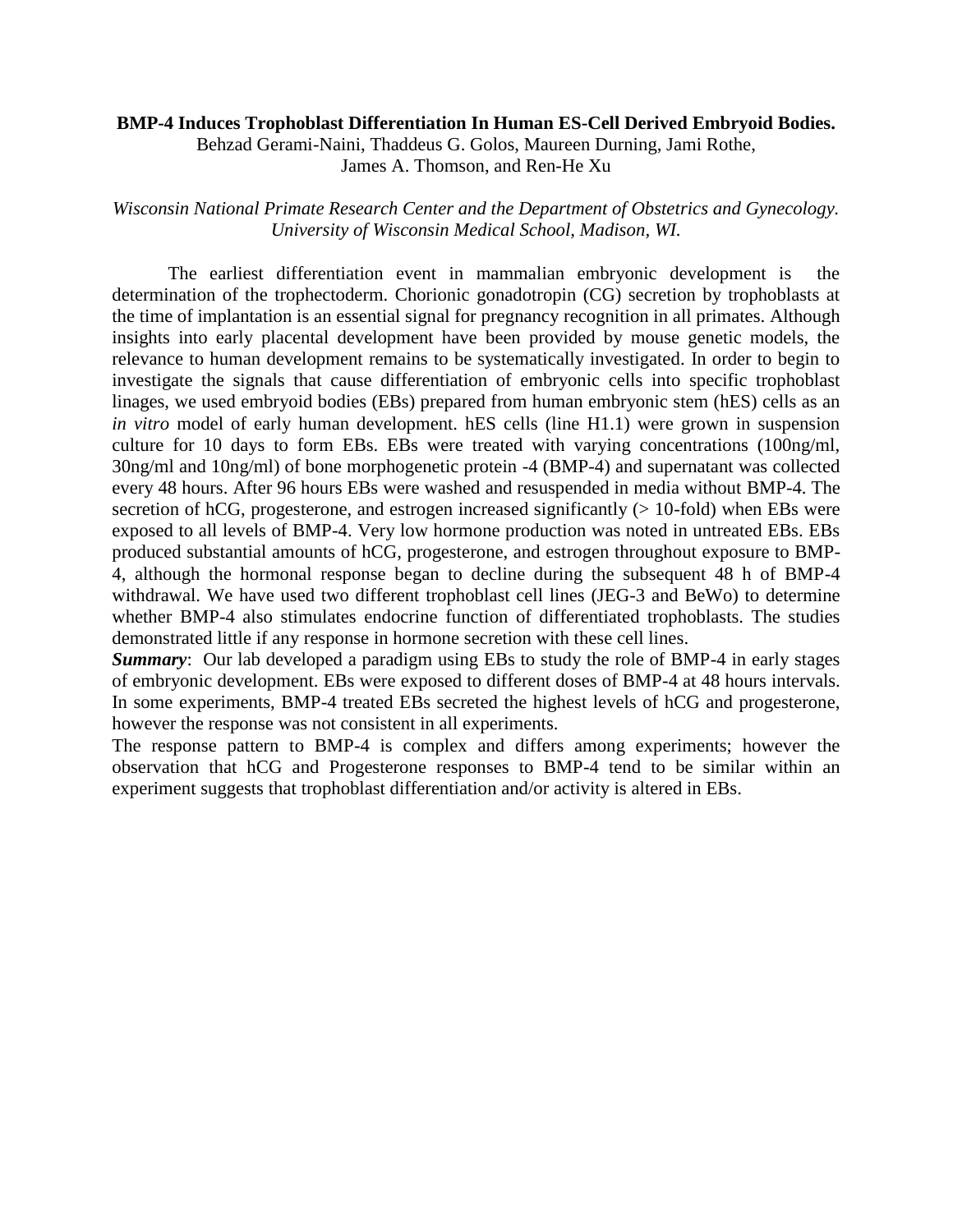#### **BMP-4 Induces Trophoblast Differentiation In Human ES-Cell Derived Embryoid Bodies.**

Behzad Gerami-Naini, Thaddeus G. Golos, Maureen Durning, Jami Rothe, James A. Thomson, and Ren-He Xu

# *Wisconsin National Primate Research Center and the Department of Obstetrics and Gynecology. University of Wisconsin Medical School, Madison, WI.*

The earliest differentiation event in mammalian embryonic development is the determination of the trophectoderm. Chorionic gonadotropin (CG) secretion by trophoblasts at the time of implantation is an essential signal for pregnancy recognition in all primates. Although insights into early placental development have been provided by mouse genetic models, the relevance to human development remains to be systematically investigated. In order to begin to investigate the signals that cause differentiation of embryonic cells into specific trophoblast linages, we used embryoid bodies (EBs) prepared from human embryonic stem (hES) cells as an *in vitro* model of early human development. hES cells (line H1.1) were grown in suspension culture for 10 days to form EBs. EBs were treated with varying concentrations (100ng/ml, 30ng/ml and 10ng/ml) of bone morphogenetic protein -4 (BMP-4) and supernatant was collected every 48 hours. After 96 hours EBs were washed and resuspended in media without BMP-4. The secretion of hCG, progesterone, and estrogen increased significantly  $(> 10$ -fold) when EBs were exposed to all levels of BMP-4. Very low hormone production was noted in untreated EBs. EBs produced substantial amounts of hCG, progesterone, and estrogen throughout exposure to BMP-4, although the hormonal response began to decline during the subsequent 48 h of BMP-4 withdrawal. We have used two different trophoblast cell lines (JEG-3 and BeWo) to determine whether BMP-4 also stimulates endocrine function of differentiated trophoblasts. The studies demonstrated little if any response in hormone secretion with these cell lines.

**Summary:** Our lab developed a paradigm using EBs to study the role of BMP-4 in early stages of embryonic development. EBs were exposed to different doses of BMP-4 at 48 hours intervals. In some experiments, BMP-4 treated EBs secreted the highest levels of hCG and progesterone, however the response was not consistent in all experiments.

The response pattern to BMP-4 is complex and differs among experiments; however the observation that hCG and Progesterone responses to BMP-4 tend to be similar within an experiment suggests that trophoblast differentiation and/or activity is altered in EBs.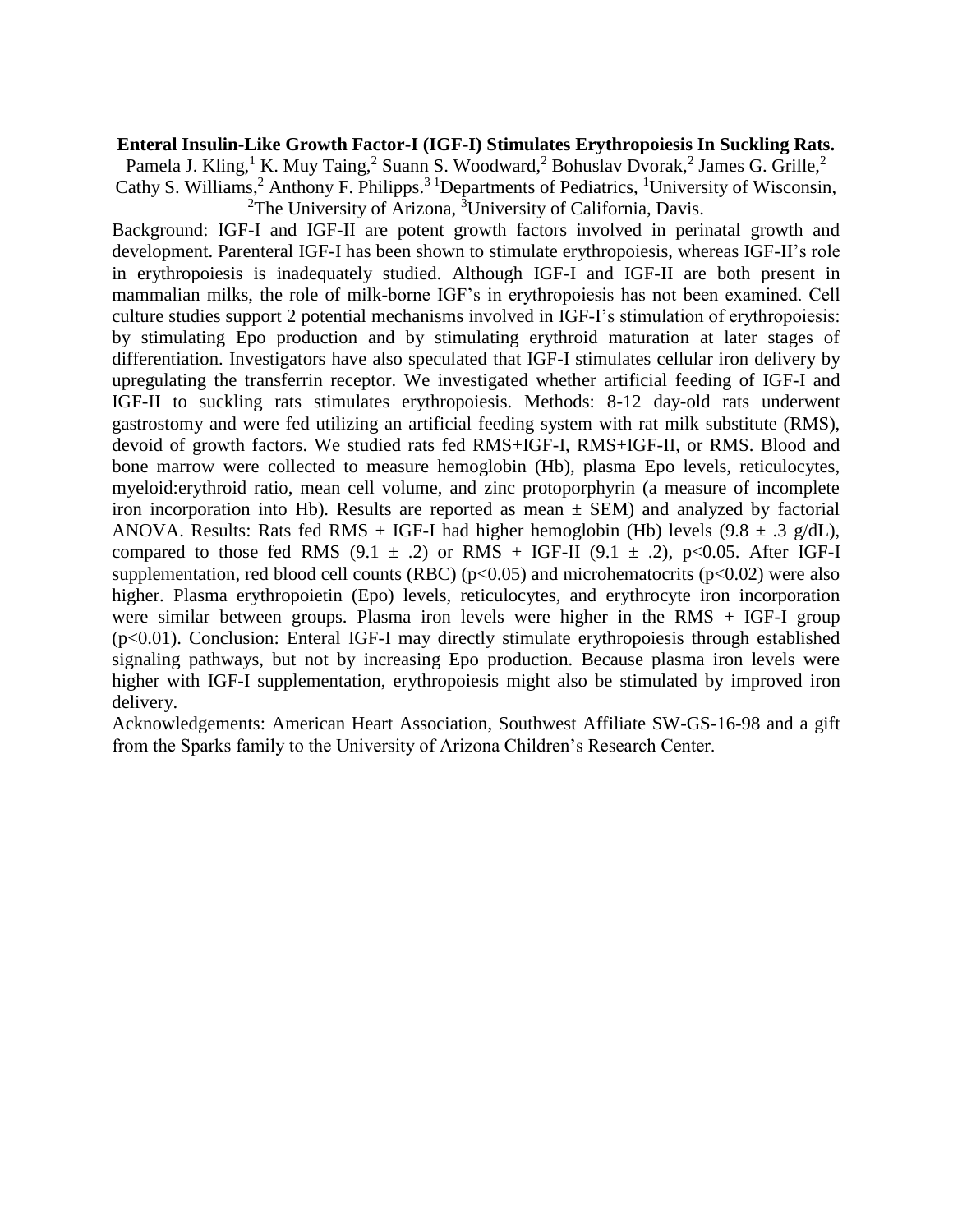#### **Enteral Insulin-Like Growth Factor-I (IGF-I) Stimulates Erythropoiesis In Suckling Rats.**

Pamela J. Kling,<sup>1</sup> K. Muy Taing,<sup>2</sup> Suann S. Woodward,<sup>2</sup> Bohuslav Dvorak,<sup>2</sup> James G. Grille,<sup>2</sup> Cathy S. Williams,<sup>2</sup> Anthony F. Philipps.<sup>3 1</sup>Departments of Pediatrics, <sup>1</sup>University of Wisconsin, <sup>2</sup>The University of Arizona,  ${}^{3}$ University of California, Davis.

Background: IGF-I and IGF-II are potent growth factors involved in perinatal growth and development. Parenteral IGF-I has been shown to stimulate erythropoiesis, whereas IGF-II's role in erythropoiesis is inadequately studied. Although IGF-I and IGF-II are both present in mammalian milks, the role of milk-borne IGF's in erythropoiesis has not been examined. Cell culture studies support 2 potential mechanisms involved in IGF-I's stimulation of erythropoiesis: by stimulating Epo production and by stimulating erythroid maturation at later stages of differentiation. Investigators have also speculated that IGF-I stimulates cellular iron delivery by upregulating the transferrin receptor. We investigated whether artificial feeding of IGF-I and IGF-II to suckling rats stimulates erythropoiesis. Methods: 8-12 day-old rats underwent gastrostomy and were fed utilizing an artificial feeding system with rat milk substitute (RMS), devoid of growth factors. We studied rats fed RMS+IGF-I, RMS+IGF-II, or RMS. Blood and bone marrow were collected to measure hemoglobin (Hb), plasma Epo levels, reticulocytes, myeloid:erythroid ratio, mean cell volume, and zinc protoporphyrin (a measure of incomplete iron incorporation into Hb). Results are reported as mean  $\pm$  SEM) and analyzed by factorial ANOVA. Results: Rats fed RMS + IGF-I had higher hemoglobin (Hb) levels  $(9.8 \pm .3 \text{ g/dL})$ , compared to those fed RMS (9.1  $\pm$  .2) or RMS + IGF-II (9.1  $\pm$  .2), p<0.05. After IGF-I supplementation, red blood cell counts (RBC) ( $p<0.05$ ) and microhematocrits ( $p<0.02$ ) were also higher. Plasma erythropoietin (Epo) levels, reticulocytes, and erythrocyte iron incorporation were similar between groups. Plasma iron levels were higher in the RMS + IGF-I group (p<0.01). Conclusion: Enteral IGF-I may directly stimulate erythropoiesis through established signaling pathways, but not by increasing Epo production. Because plasma iron levels were higher with IGF-I supplementation, erythropoiesis might also be stimulated by improved iron delivery.

Acknowledgements: American Heart Association, Southwest Affiliate SW-GS-16-98 and a gift from the Sparks family to the University of Arizona Children's Research Center.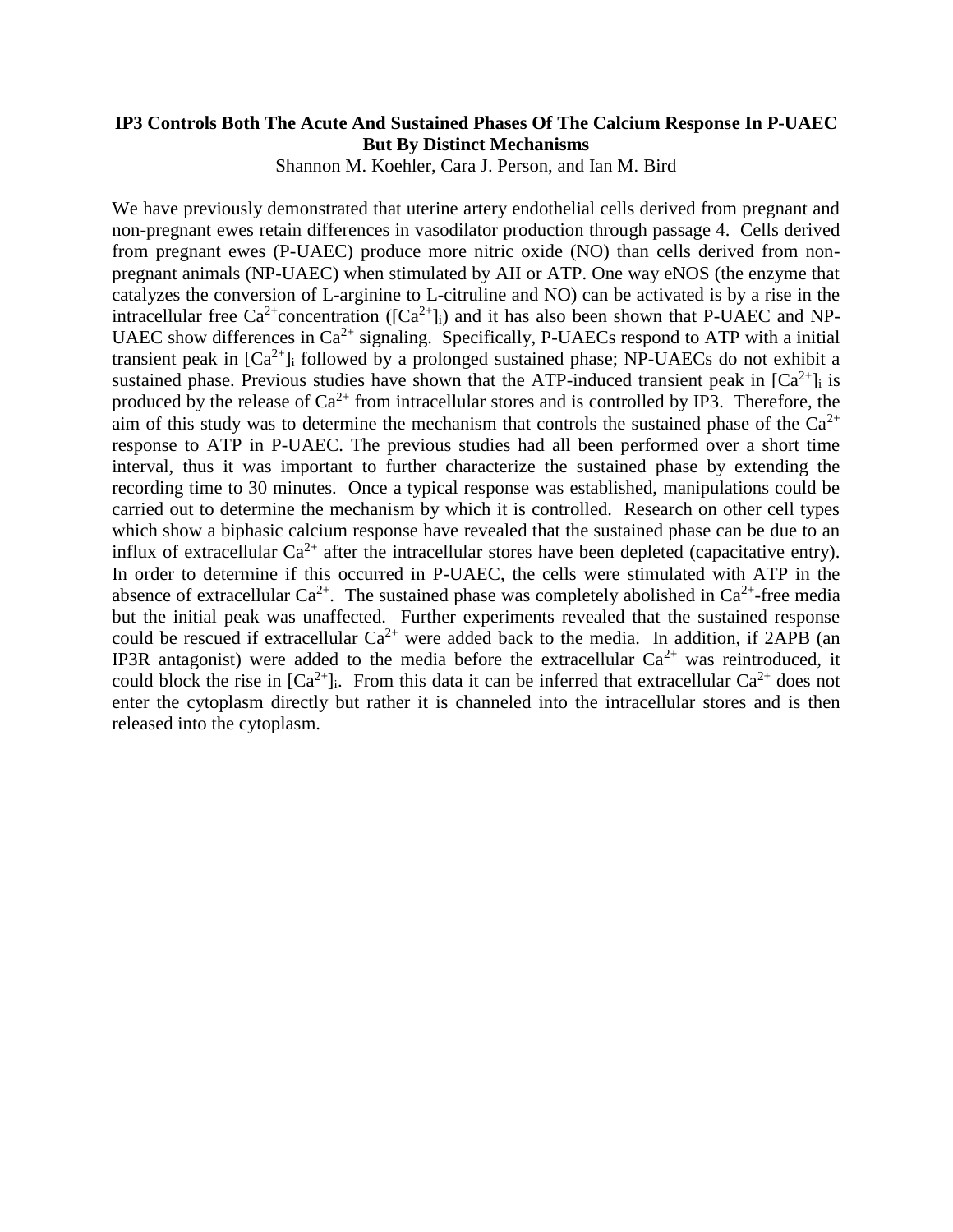# **IP3 Controls Both The Acute And Sustained Phases Of The Calcium Response In P-UAEC But By Distinct Mechanisms**

Shannon M. Koehler, Cara J. Person, and Ian M. Bird

We have previously demonstrated that uterine artery endothelial cells derived from pregnant and non-pregnant ewes retain differences in vasodilator production through passage 4. Cells derived from pregnant ewes (P-UAEC) produce more nitric oxide (NO) than cells derived from nonpregnant animals (NP-UAEC) when stimulated by AII or ATP. One way eNOS (the enzyme that catalyzes the conversion of L-arginine to L-citruline and NO) can be activated is by a rise in the intracellular free  $Ca^{2+}$ concentration ( $[Ca^{2+}]_i$ ) and it has also been shown that P-UAEC and NP-UAEC show differences in  $Ca^{2+}$  signaling. Specifically, P-UAECs respond to ATP with a initial transient peak in  $[Ca^{2+}]\$ i followed by a prolonged sustained phase; NP-UAECs do not exhibit a sustained phase. Previous studies have shown that the ATP-induced transient peak in  $[Ca^{2+}]_i$  is produced by the release of  $Ca^{2+}$  from intracellular stores and is controlled by IP3. Therefore, the aim of this study was to determine the mechanism that controls the sustained phase of the  $Ca^{2+}$ response to ATP in P-UAEC. The previous studies had all been performed over a short time interval, thus it was important to further characterize the sustained phase by extending the recording time to 30 minutes. Once a typical response was established, manipulations could be carried out to determine the mechanism by which it is controlled. Research on other cell types which show a biphasic calcium response have revealed that the sustained phase can be due to an influx of extracellular  $Ca^{2+}$  after the intracellular stores have been depleted (capacitative entry). In order to determine if this occurred in P-UAEC, the cells were stimulated with ATP in the absence of extracellular  $Ca^{2+}$ . The sustained phase was completely abolished in  $Ca^{2+}$ -free media but the initial peak was unaffected. Further experiments revealed that the sustained response could be rescued if extracellular  $Ca^{2+}$  were added back to the media. In addition, if 2APB (an IP3R antagonist) were added to the media before the extracellular  $Ca^{2+}$  was reintroduced, it could block the rise in  $[Ca^{2+}]$ . From this data it can be inferred that extracellular  $Ca^{2+}$  does not enter the cytoplasm directly but rather it is channeled into the intracellular stores and is then released into the cytoplasm.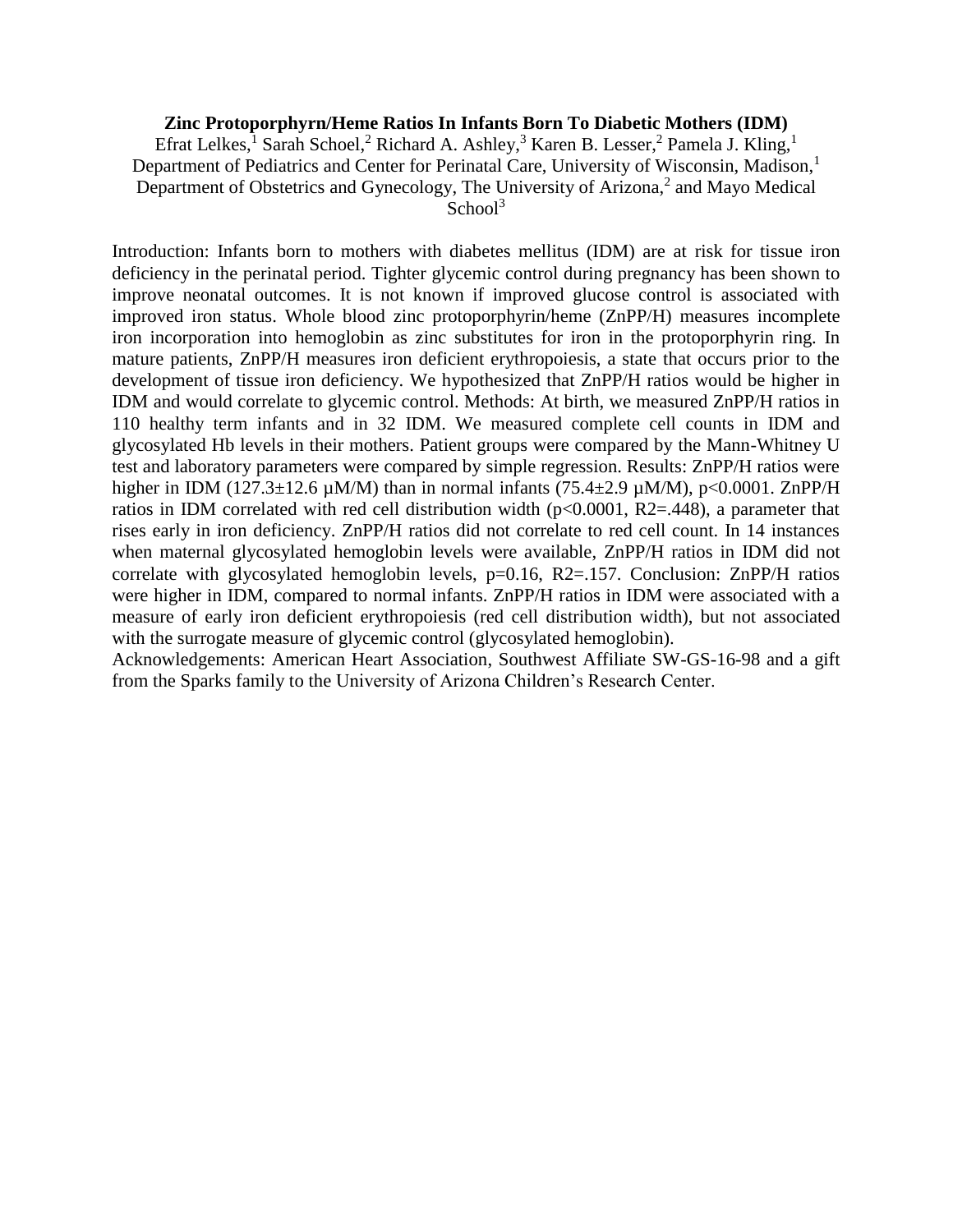#### **Zinc Protoporphyrn/Heme Ratios In Infants Born To Diabetic Mothers (IDM)**

Efrat Lelkes,<sup>1</sup> Sarah Schoel,<sup>2</sup> Richard A. Ashley,<sup>3</sup> Karen B. Lesser,<sup>2</sup> Pamela J. Kling,<sup>1</sup> Department of Pediatrics and Center for Perinatal Care, University of Wisconsin, Madison,<sup>1</sup> Department of Obstetrics and Gynecology, The University of Arizona, $<sup>2</sup>$  and Mayo Medical</sup>  $School<sup>3</sup>$ 

Introduction: Infants born to mothers with diabetes mellitus (IDM) are at risk for tissue iron deficiency in the perinatal period. Tighter glycemic control during pregnancy has been shown to improve neonatal outcomes. It is not known if improved glucose control is associated with improved iron status. Whole blood zinc protoporphyrin/heme (ZnPP/H) measures incomplete iron incorporation into hemoglobin as zinc substitutes for iron in the protoporphyrin ring. In mature patients, ZnPP/H measures iron deficient erythropoiesis, a state that occurs prior to the development of tissue iron deficiency. We hypothesized that ZnPP/H ratios would be higher in IDM and would correlate to glycemic control. Methods: At birth, we measured ZnPP/H ratios in 110 healthy term infants and in 32 IDM. We measured complete cell counts in IDM and glycosylated Hb levels in their mothers. Patient groups were compared by the Mann-Whitney U test and laboratory parameters were compared by simple regression. Results: ZnPP/H ratios were higher in IDM (127.3±12.6  $\mu$ M/M) than in normal infants (75.4±2.9  $\mu$ M/M), p<0.0001. ZnPP/H ratios in IDM correlated with red cell distribution width (p<0.0001, R2=.448), a parameter that rises early in iron deficiency. ZnPP/H ratios did not correlate to red cell count. In 14 instances when maternal glycosylated hemoglobin levels were available, ZnPP/H ratios in IDM did not correlate with glycosylated hemoglobin levels, p=0.16, R2=.157. Conclusion: ZnPP/H ratios were higher in IDM, compared to normal infants. ZnPP/H ratios in IDM were associated with a measure of early iron deficient erythropoiesis (red cell distribution width), but not associated with the surrogate measure of glycemic control (glycosylated hemoglobin).

Acknowledgements: American Heart Association, Southwest Affiliate SW-GS-16-98 and a gift from the Sparks family to the University of Arizona Children's Research Center.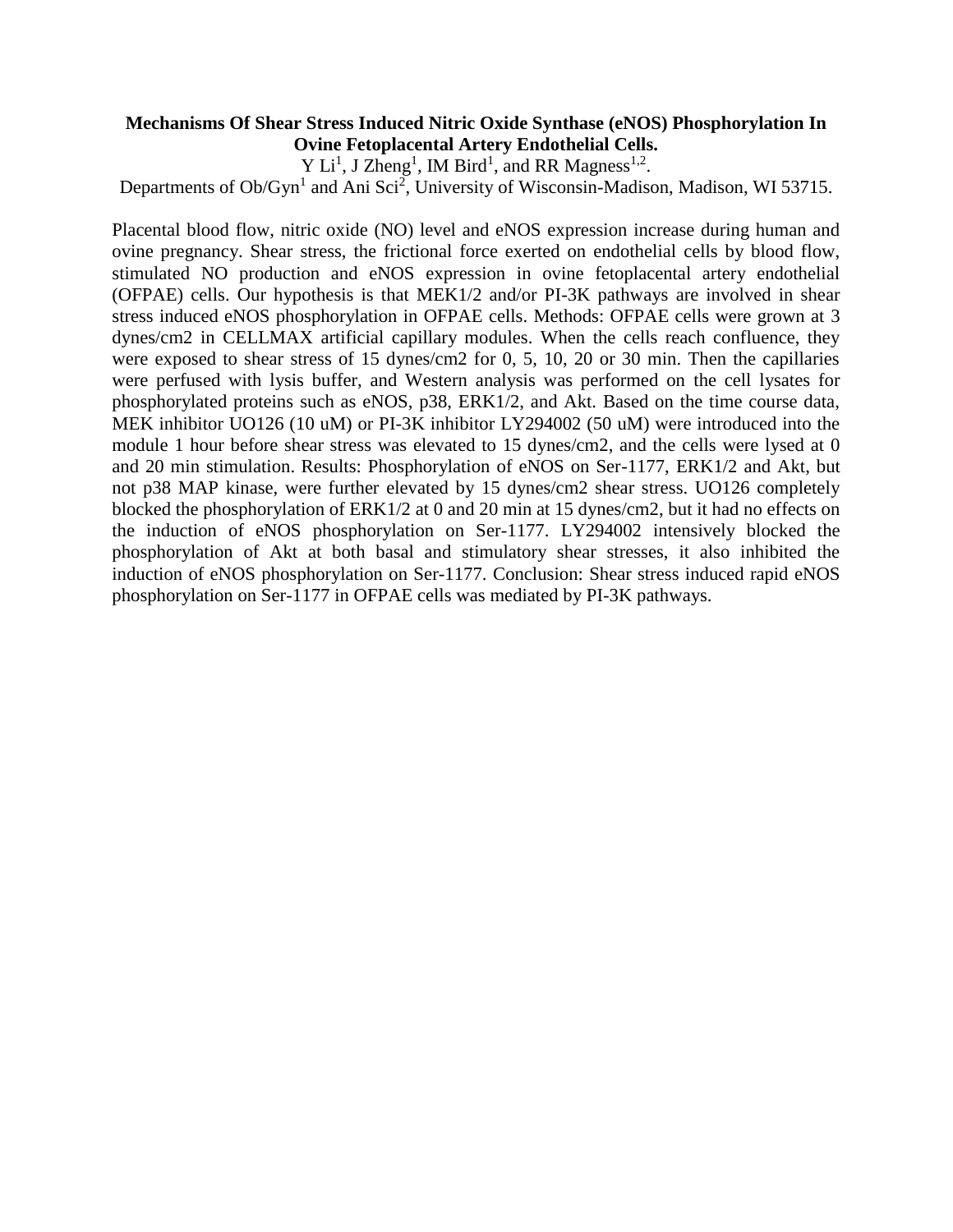# **Mechanisms Of Shear Stress Induced Nitric Oxide Synthase (eNOS) Phosphorylation In Ovine Fetoplacental Artery Endothelial Cells.**

Y Li<sup>1</sup>, J Zheng<sup>1</sup>, IM Bird<sup>1</sup>, and RR Magness<sup>1,2</sup>.

Departments of  $Ob/Gyn<sup>1</sup>$  and Ani Sci<sup>2</sup>, University of Wisconsin-Madison, Madison, WI 53715.

Placental blood flow, nitric oxide (NO) level and eNOS expression increase during human and ovine pregnancy. Shear stress, the frictional force exerted on endothelial cells by blood flow, stimulated NO production and eNOS expression in ovine fetoplacental artery endothelial (OFPAE) cells. Our hypothesis is that MEK1/2 and/or PI-3K pathways are involved in shear stress induced eNOS phosphorylation in OFPAE cells. Methods: OFPAE cells were grown at 3 dynes/cm2 in CELLMAX artificial capillary modules. When the cells reach confluence, they were exposed to shear stress of 15 dynes/cm2 for 0, 5, 10, 20 or 30 min. Then the capillaries were perfused with lysis buffer, and Western analysis was performed on the cell lysates for phosphorylated proteins such as eNOS, p38, ERK1/2, and Akt. Based on the time course data, MEK inhibitor UO126 (10 uM) or PI-3K inhibitor LY294002 (50 uM) were introduced into the module 1 hour before shear stress was elevated to 15 dynes/cm2, and the cells were lysed at 0 and 20 min stimulation. Results: Phosphorylation of eNOS on Ser-1177, ERK1/2 and Akt, but not p38 MAP kinase, were further elevated by 15 dynes/cm2 shear stress. UO126 completely blocked the phosphorylation of ERK1/2 at 0 and 20 min at 15 dynes/cm2, but it had no effects on the induction of eNOS phosphorylation on Ser-1177. LY294002 intensively blocked the phosphorylation of Akt at both basal and stimulatory shear stresses, it also inhibited the induction of eNOS phosphorylation on Ser-1177. Conclusion: Shear stress induced rapid eNOS phosphorylation on Ser-1177 in OFPAE cells was mediated by PI-3K pathways.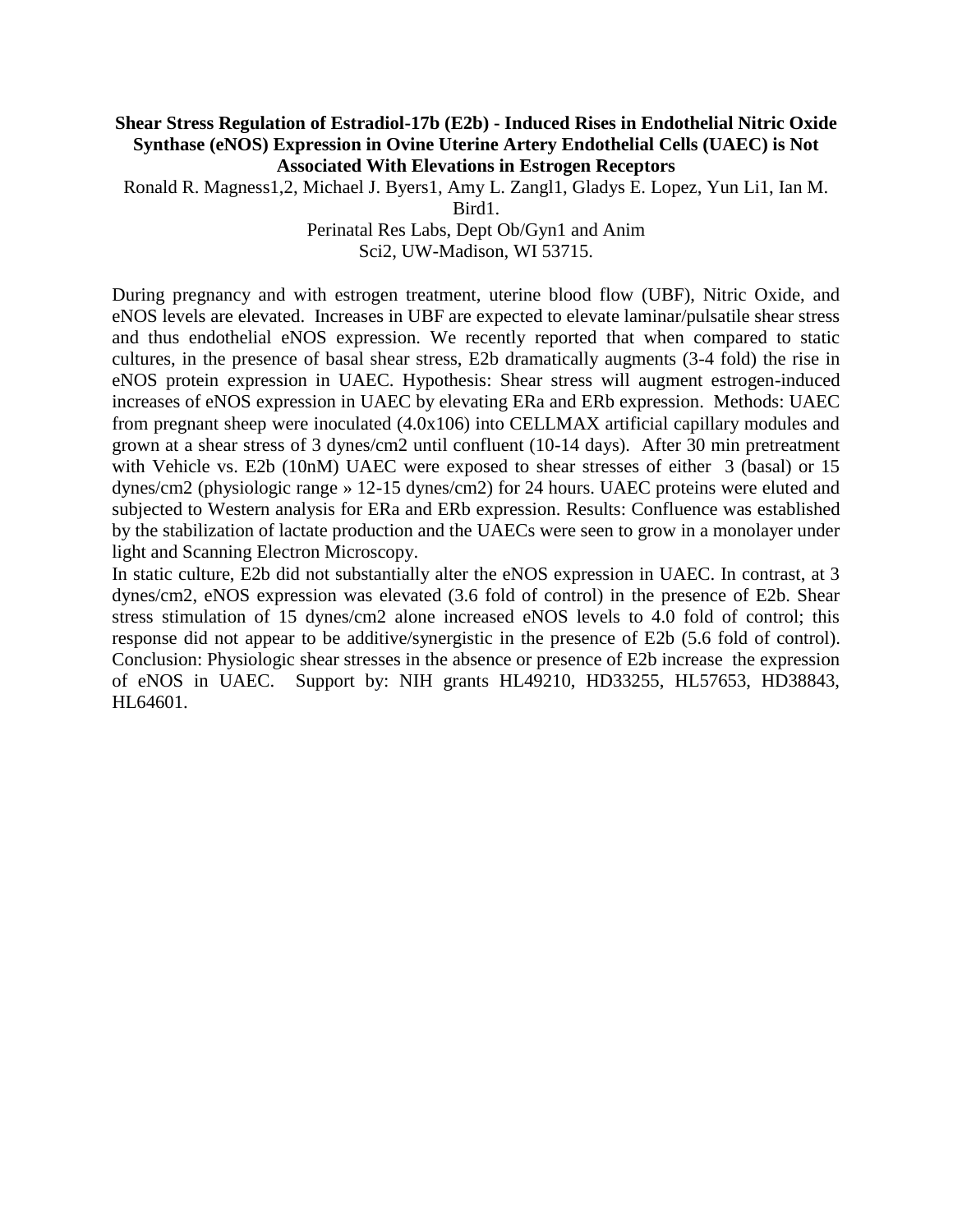#### **Shear Stress Regulation of Estradiol-17b (E2b) - Induced Rises in Endothelial Nitric Oxide Synthase (eNOS) Expression in Ovine Uterine Artery Endothelial Cells (UAEC) is Not Associated With Elevations in Estrogen Receptors**

Ronald R. Magness1,2, Michael J. Byers1, Amy L. Zangl1, Gladys E. Lopez, Yun Li1, Ian M.

Bird1.

Perinatal Res Labs, Dept Ob/Gyn1 and Anim Sci2, UW-Madison, WI 53715.

During pregnancy and with estrogen treatment, uterine blood flow (UBF), Nitric Oxide, and eNOS levels are elevated. Increases in UBF are expected to elevate laminar/pulsatile shear stress and thus endothelial eNOS expression. We recently reported that when compared to static cultures, in the presence of basal shear stress, E2b dramatically augments (3-4 fold) the rise in eNOS protein expression in UAEC. Hypothesis: Shear stress will augment estrogen-induced increases of eNOS expression in UAEC by elevating ERa and ERb expression. Methods: UAEC from pregnant sheep were inoculated (4.0x106) into CELLMAX artificial capillary modules and grown at a shear stress of 3 dynes/cm2 until confluent (10-14 days). After 30 min pretreatment with Vehicle vs. E2b (10nM) UAEC were exposed to shear stresses of either 3 (basal) or 15 dynes/cm2 (physiologic range » 12-15 dynes/cm2) for 24 hours. UAEC proteins were eluted and subjected to Western analysis for ERa and ERb expression. Results: Confluence was established by the stabilization of lactate production and the UAECs were seen to grow in a monolayer under light and Scanning Electron Microscopy.

In static culture, E2b did not substantially alter the eNOS expression in UAEC. In contrast, at 3 dynes/cm2, eNOS expression was elevated (3.6 fold of control) in the presence of E2b. Shear stress stimulation of 15 dynes/cm2 alone increased eNOS levels to 4.0 fold of control; this response did not appear to be additive/synergistic in the presence of E2b (5.6 fold of control). Conclusion: Physiologic shear stresses in the absence or presence of E2b increase the expression of eNOS in UAEC. Support by: NIH grants HL49210, HD33255, HL57653, HD38843, HL64601.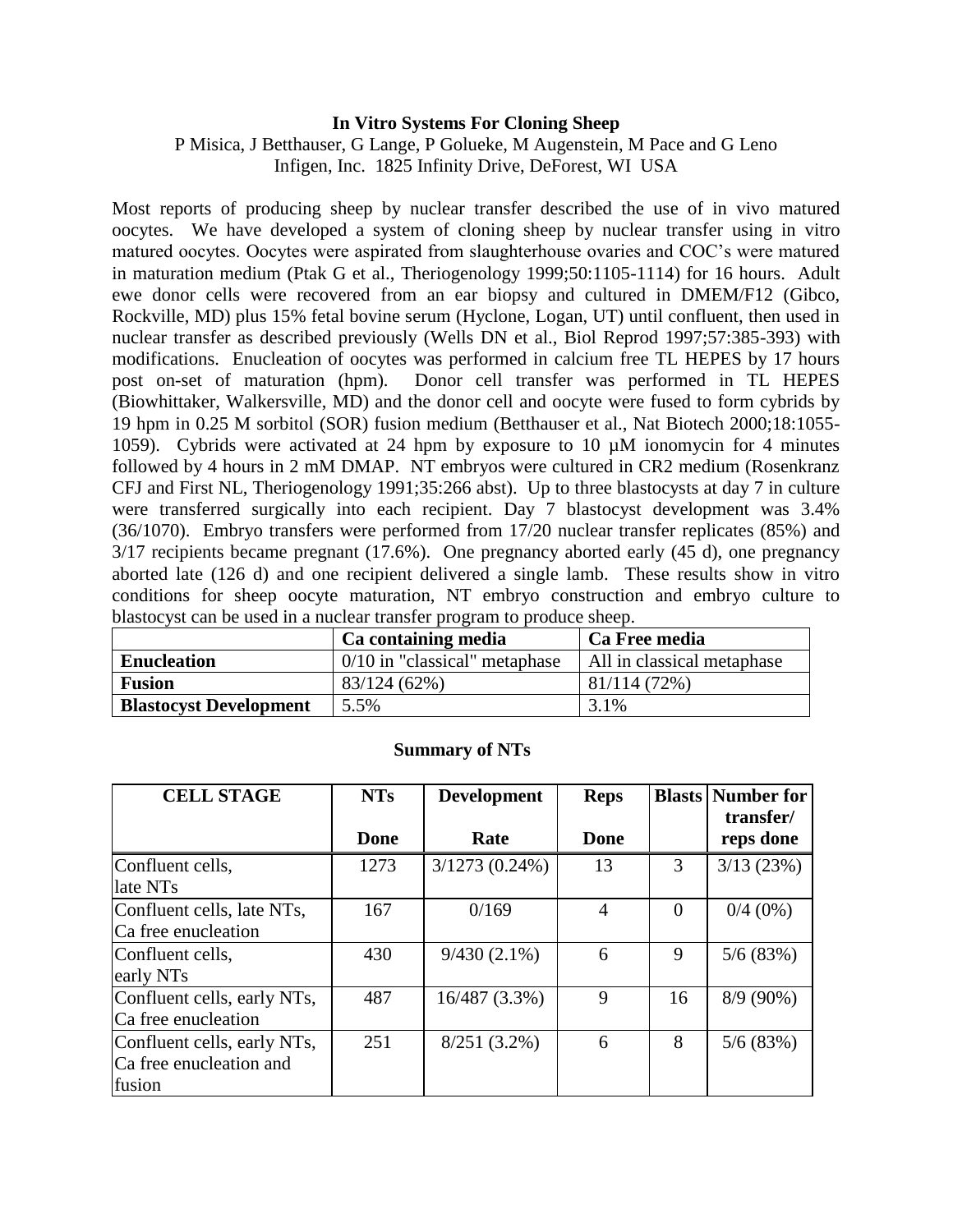#### **In Vitro Systems For Cloning Sheep**

P Misica, J Betthauser, G Lange, P Golueke, M Augenstein, M Pace and G Leno Infigen, Inc. 1825 Infinity Drive, DeForest, WI USA

Most reports of producing sheep by nuclear transfer described the use of in vivo matured oocytes. We have developed a system of cloning sheep by nuclear transfer using in vitro matured oocytes. Oocytes were aspirated from slaughterhouse ovaries and COC's were matured in maturation medium (Ptak G et al., Theriogenology 1999;50:1105-1114) for 16 hours. Adult ewe donor cells were recovered from an ear biopsy and cultured in DMEM/F12 (Gibco, Rockville, MD) plus 15% fetal bovine serum (Hyclone, Logan, UT) until confluent, then used in nuclear transfer as described previously (Wells DN et al., Biol Reprod 1997;57:385-393) with modifications. Enucleation of oocytes was performed in calcium free TL HEPES by 17 hours post on-set of maturation (hpm). Donor cell transfer was performed in TL HEPES (Biowhittaker, Walkersville, MD) and the donor cell and oocyte were fused to form cybrids by 19 hpm in 0.25 M sorbitol (SOR) fusion medium (Betthauser et al., Nat Biotech 2000;18:1055- 1059). Cybrids were activated at 24 hpm by exposure to 10 µM ionomycin for 4 minutes followed by 4 hours in 2 mM DMAP. NT embryos were cultured in CR2 medium (Rosenkranz CFJ and First NL, Theriogenology 1991;35:266 abst). Up to three blastocysts at day 7 in culture were transferred surgically into each recipient. Day 7 blastocyst development was 3.4% (36/1070). Embryo transfers were performed from 17/20 nuclear transfer replicates (85%) and 3/17 recipients became pregnant (17.6%). One pregnancy aborted early (45 d), one pregnancy aborted late (126 d) and one recipient delivered a single lamb. These results show in vitro conditions for sheep oocyte maturation, NT embryo construction and embryo culture to blastocyst can be used in a nuclear transfer program to produce sheep.

|                               | Ca containing media             | Ca Free media              |  |  |
|-------------------------------|---------------------------------|----------------------------|--|--|
| <b>Enucleation</b>            | $0/10$ in "classical" metaphase | All in classical metaphase |  |  |
| <b>Fusion</b>                 | 83/124 (62%)                    | 81/114 (72%)               |  |  |
| <b>Blastocyst Development</b> | 5.5%                            | 3.1%                       |  |  |

| <b>CELL STAGE</b>           | <b>NTs</b>  | <b>Development</b> | <b>Reps</b>    | <b>Blasts</b> | <b>Number for</b> |
|-----------------------------|-------------|--------------------|----------------|---------------|-------------------|
|                             |             |                    |                |               | transfer/         |
|                             | <b>Done</b> | Rate               | Done           |               | reps done         |
| Confluent cells,            | 1273        | $3/1273(0.24\%)$   | 13             | 3             | 3/13(23%)         |
| late NTs                    |             |                    |                |               |                   |
| Confluent cells, late NTs,  | 167         | 0/169              | $\overline{4}$ | $\Omega$      | $0/4(0\%)$        |
| Ca free enucleation         |             |                    |                |               |                   |
| Confluent cells,            | 430         | $9/430(2.1\%)$     | 6              | 9             | 5/6(83%)          |
| early NTs                   |             |                    |                |               |                   |
| Confluent cells, early NTs, | 487         | 16/487 (3.3%)      | 9              | 16            | $8/9(90\%)$       |
| Ca free enucleation         |             |                    |                |               |                   |
| Confluent cells, early NTs, | 251         | $8/251(3.2\%)$     | 6              | 8             | 5/6(83%)          |
| Ca free enucleation and     |             |                    |                |               |                   |
| fusion                      |             |                    |                |               |                   |

# **Summary of NTs**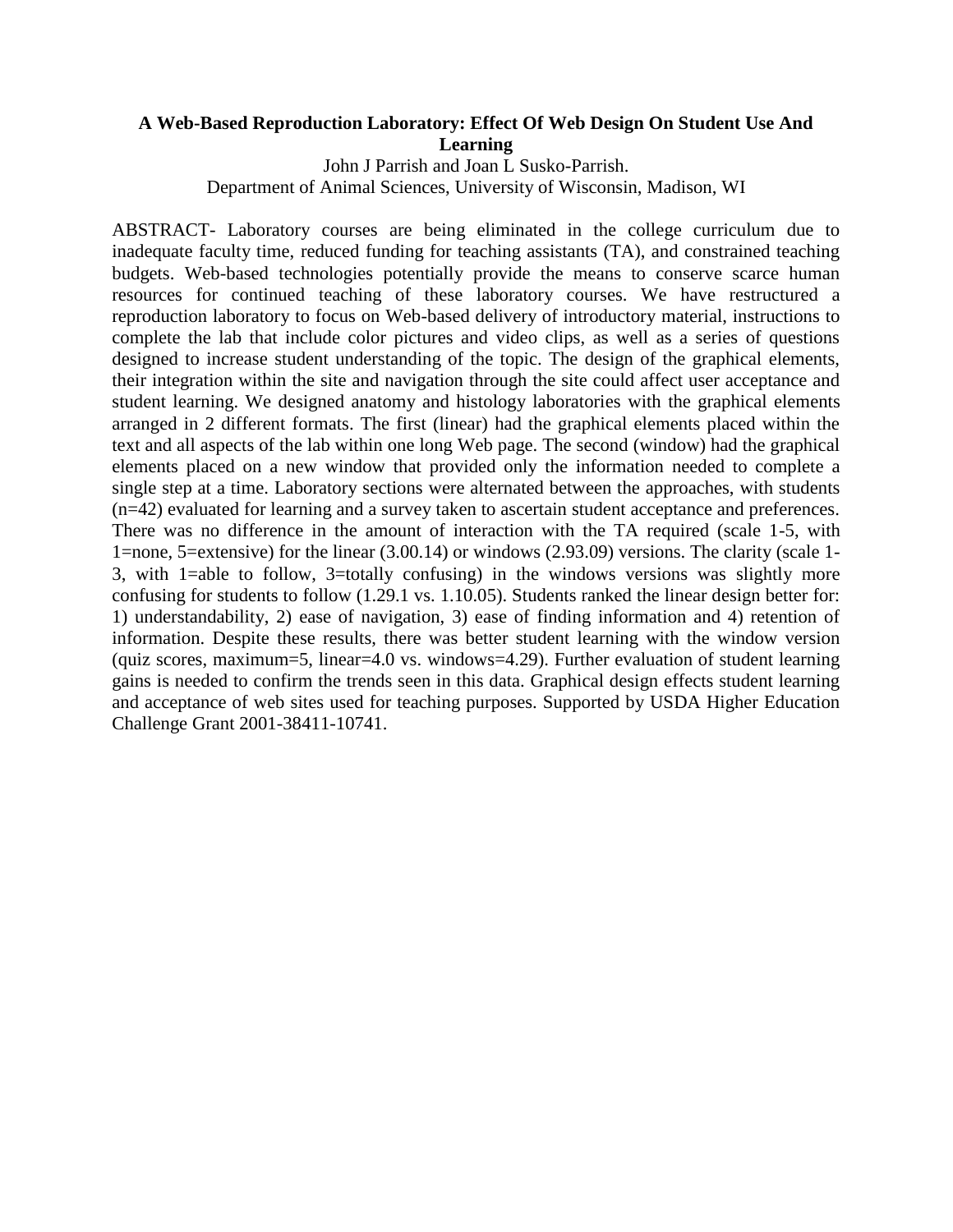# **A Web-Based Reproduction Laboratory: Effect Of Web Design On Student Use And Learning**

John J Parrish and Joan L Susko-Parrish. Department of Animal Sciences, University of Wisconsin, Madison, WI

ABSTRACT- Laboratory courses are being eliminated in the college curriculum due to inadequate faculty time, reduced funding for teaching assistants (TA), and constrained teaching budgets. Web-based technologies potentially provide the means to conserve scarce human resources for continued teaching of these laboratory courses. We have restructured a reproduction laboratory to focus on Web-based delivery of introductory material, instructions to complete the lab that include color pictures and video clips, as well as a series of questions designed to increase student understanding of the topic. The design of the graphical elements, their integration within the site and navigation through the site could affect user acceptance and student learning. We designed anatomy and histology laboratories with the graphical elements arranged in 2 different formats. The first (linear) had the graphical elements placed within the text and all aspects of the lab within one long Web page. The second (window) had the graphical elements placed on a new window that provided only the information needed to complete a single step at a time. Laboratory sections were alternated between the approaches, with students (n=42) evaluated for learning and a survey taken to ascertain student acceptance and preferences. There was no difference in the amount of interaction with the TA required (scale 1-5, with 1=none, 5=extensive) for the linear (3.00.14) or windows (2.93.09) versions. The clarity (scale 1- 3, with 1=able to follow, 3=totally confusing) in the windows versions was slightly more confusing for students to follow (1.29.1 vs. 1.10.05). Students ranked the linear design better for: 1) understandability, 2) ease of navigation, 3) ease of finding information and 4) retention of information. Despite these results, there was better student learning with the window version (quiz scores, maximum=5, linear=4.0 vs. windows=4.29). Further evaluation of student learning gains is needed to confirm the trends seen in this data. Graphical design effects student learning and acceptance of web sites used for teaching purposes. Supported by USDA Higher Education Challenge Grant 2001-38411-10741.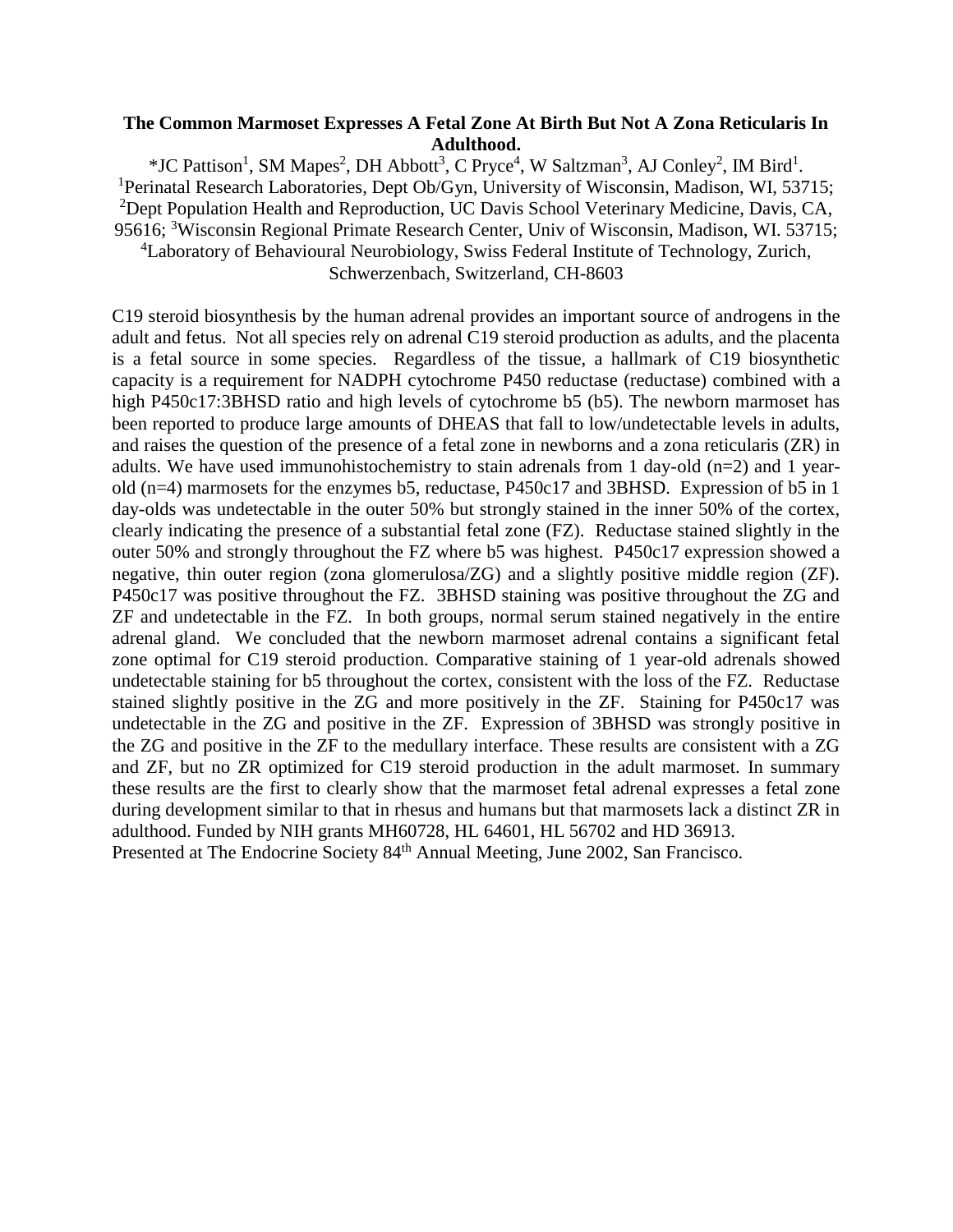# **The Common Marmoset Expresses A Fetal Zone At Birth But Not A Zona Reticularis In Adulthood.**

\*JC Pattison<sup>1</sup>, SM Mapes<sup>2</sup>, DH Abbott<sup>3</sup>, C Pryce<sup>4</sup>, W Saltzman<sup>3</sup>, AJ Conley<sup>2</sup>, IM Bird<sup>1</sup>. <sup>1</sup>Perinatal Research Laboratories, Dept Ob/Gyn, University of Wisconsin, Madison, WI, 53715; <sup>2</sup>Dept Population Health and Reproduction, UC Davis School Veterinary Medicine, Davis, CA, 95616; <sup>3</sup>Wisconsin Regional Primate Research Center, Univ of Wisconsin, Madison, WI. 53715; <sup>4</sup>Laboratory of Behavioural Neurobiology, Swiss Federal Institute of Technology, Zurich,

Schwerzenbach, Switzerland, CH-8603

C19 steroid biosynthesis by the human adrenal provides an important source of androgens in the adult and fetus. Not all species rely on adrenal C19 steroid production as adults, and the placenta is a fetal source in some species. Regardless of the tissue, a hallmark of C19 biosynthetic capacity is a requirement for NADPH cytochrome P450 reductase (reductase) combined with a high P450c17:3BHSD ratio and high levels of cytochrome b5 (b5). The newborn marmoset has been reported to produce large amounts of DHEAS that fall to low/undetectable levels in adults, and raises the question of the presence of a fetal zone in newborns and a zona reticularis (ZR) in adults. We have used immunohistochemistry to stain adrenals from 1 day-old  $(n=2)$  and 1 yearold (n=4) marmosets for the enzymes b5, reductase, P450c17 and 3BHSD. Expression of b5 in 1 day-olds was undetectable in the outer 50% but strongly stained in the inner 50% of the cortex, clearly indicating the presence of a substantial fetal zone (FZ). Reductase stained slightly in the outer 50% and strongly throughout the FZ where b5 was highest. P450c17 expression showed a negative, thin outer region (zona glomerulosa/ZG) and a slightly positive middle region (ZF). P450c17 was positive throughout the FZ. 3BHSD staining was positive throughout the ZG and ZF and undetectable in the FZ. In both groups, normal serum stained negatively in the entire adrenal gland. We concluded that the newborn marmoset adrenal contains a significant fetal zone optimal for C19 steroid production. Comparative staining of 1 year-old adrenals showed undetectable staining for b5 throughout the cortex, consistent with the loss of the FZ. Reductase stained slightly positive in the ZG and more positively in the ZF. Staining for P450c17 was undetectable in the ZG and positive in the ZF. Expression of 3BHSD was strongly positive in the ZG and positive in the ZF to the medullary interface. These results are consistent with a ZG and ZF, but no ZR optimized for C19 steroid production in the adult marmoset. In summary these results are the first to clearly show that the marmoset fetal adrenal expresses a fetal zone during development similar to that in rhesus and humans but that marmosets lack a distinct ZR in adulthood. Funded by NIH grants MH60728, HL 64601, HL 56702 and HD 36913. Presented at The Endocrine Society 84<sup>th</sup> Annual Meeting, June 2002, San Francisco.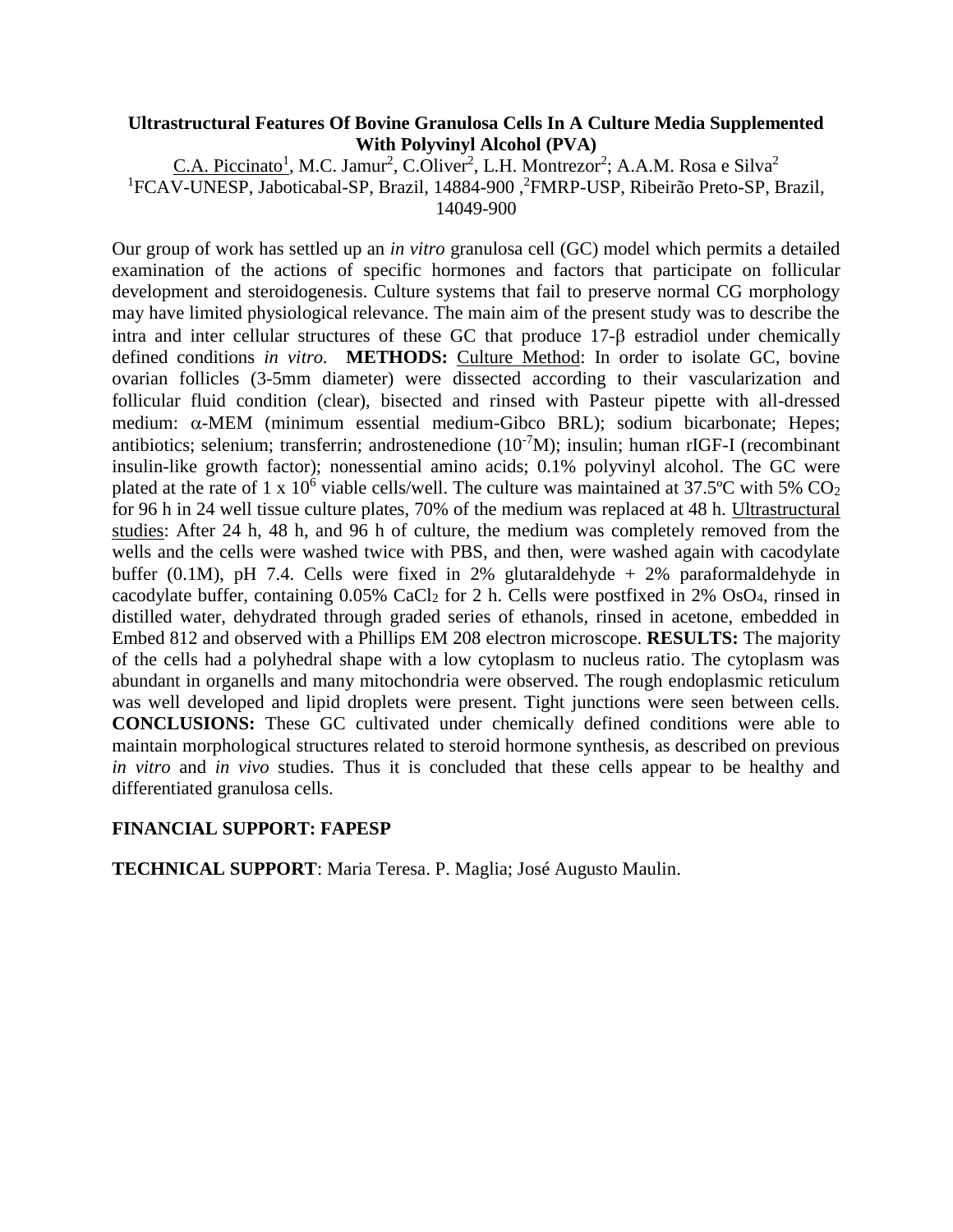# **Ultrastructural Features Of Bovine Granulosa Cells In A Culture Media Supplemented With Polyvinyl Alcohol (PVA)**

C.A. Piccinato<sup>1</sup>, M.C. Jamur<sup>2</sup>, C.Oliver<sup>2</sup>, L.H. Montrezor<sup>2</sup>; A.A.M. Rosa e Silva<sup>2</sup> <sup>1</sup>FCAV-UNESP, Jaboticabal-SP, Brazil, 14884-900, <sup>2</sup>FMRP-USP, Ribeirão Preto-SP, Brazil, 14049-900

Our group of work has settled up an *in vitro* granulosa cell (GC) model which permits a detailed examination of the actions of specific hormones and factors that participate on follicular development and steroidogenesis. Culture systems that fail to preserve normal CG morphology may have limited physiological relevance. The main aim of the present study was to describe the intra and inter cellular structures of these GC that produce 17-8 estradiol under chemically defined conditions *in vitro.* **METHODS:** Culture Method: In order to isolate GC, bovine ovarian follicles (3-5mm diameter) were dissected according to their vascularization and follicular fluid condition (clear), bisected and rinsed with Pasteur pipette with all-dressed medium:  $\alpha$ -MEM (minimum essential medium-Gibco BRL); sodium bicarbonate; Hepes; antibiotics; selenium; transferrin; androstenedione  $(10^{-7}M)$ ; insulin; human rIGF-I (recombinant insulin-like growth factor); nonessential amino acids; 0.1% polyvinyl alcohol. The GC were plated at the rate of 1 x  $10^6$  viable cells/well. The culture was maintained at 37.5°C with 5% CO<sub>2</sub> for 96 h in 24 well tissue culture plates, 70% of the medium was replaced at 48 h. Ultrastructural studies: After 24 h, 48 h, and 96 h of culture, the medium was completely removed from the wells and the cells were washed twice with PBS, and then, were washed again with cacodylate buffer (0.1M), pH 7.4. Cells were fixed in 2% glutaraldehyde + 2% paraformaldehyde in cacodylate buffer, containing 0.05% CaCl<sup>2</sup> for 2 h. Cells were postfixed in 2% OsO4, rinsed in distilled water, dehydrated through graded series of ethanols, rinsed in acetone, embedded in Embed 812 and observed with a Phillips EM 208 electron microscope. **RESULTS:** The majority of the cells had a polyhedral shape with a low cytoplasm to nucleus ratio. The cytoplasm was abundant in organells and many mitochondria were observed. The rough endoplasmic reticulum was well developed and lipid droplets were present. Tight junctions were seen between cells. **CONCLUSIONS:** These GC cultivated under chemically defined conditions were able to maintain morphological structures related to steroid hormone synthesis, as described on previous *in vitro* and *in vivo* studies. Thus it is concluded that these cells appear to be healthy and differentiated granulosa cells.

# **FINANCIAL SUPPORT: FAPESP**

**TECHNICAL SUPPORT**: Maria Teresa. P. Maglia; José Augusto Maulin.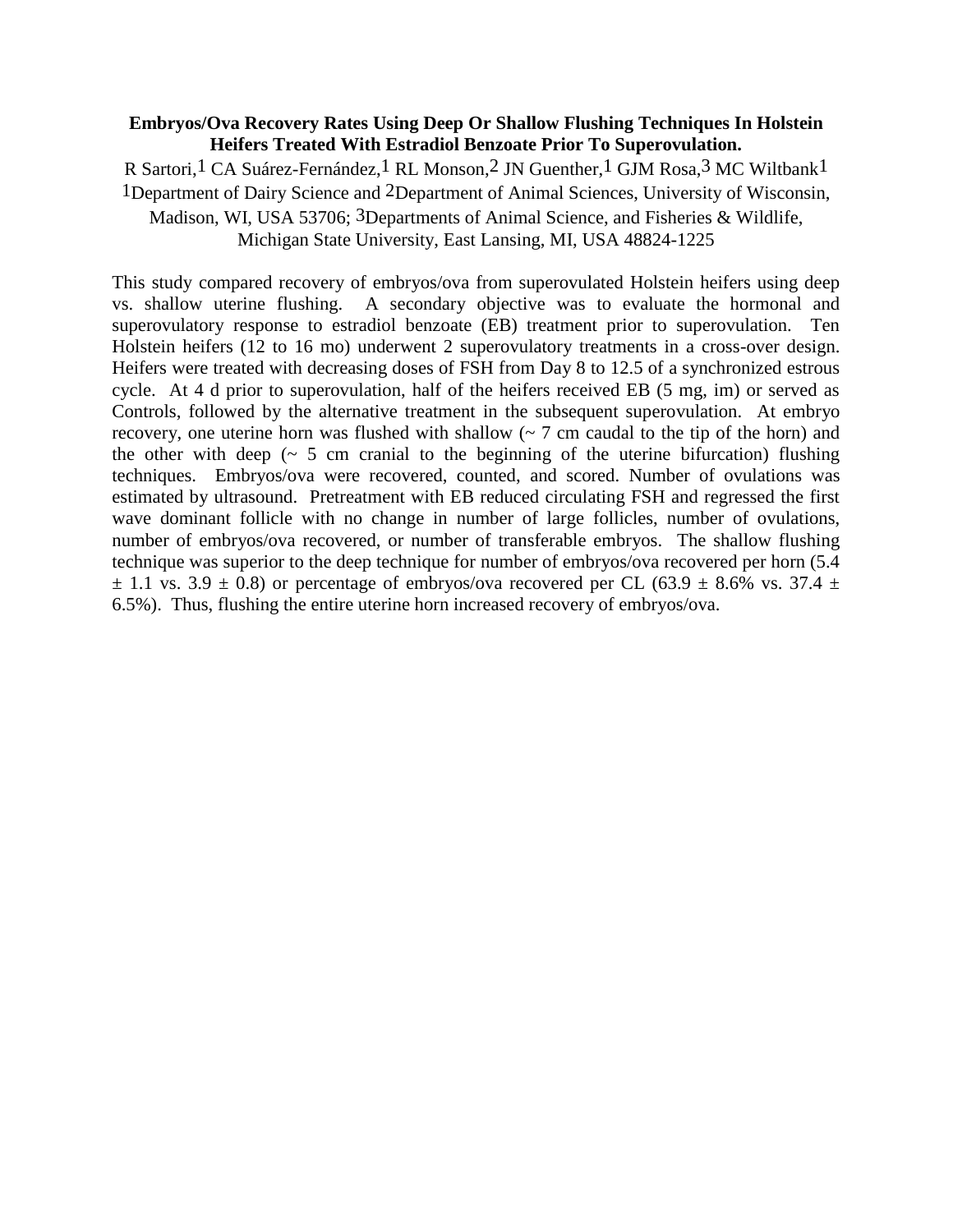# **Embryos/Ova Recovery Rates Using Deep Or Shallow Flushing Techniques In Holstein Heifers Treated With Estradiol Benzoate Prior To Superovulation.**

R Sartori,1 CA Suárez-Fernández,1 RL Monson,2 JN Guenther,1 GJM Rosa,3 MC Wiltbank1 1Department of Dairy Science and 2Department of Animal Sciences, University of Wisconsin, Madison, WI, USA 53706; 3Departments of Animal Science, and Fisheries & Wildlife, Michigan State University, East Lansing, MI, USA 48824-1225

This study compared recovery of embryos/ova from superovulated Holstein heifers using deep vs. shallow uterine flushing. A secondary objective was to evaluate the hormonal and superovulatory response to estradiol benzoate (EB) treatment prior to superovulation. Ten Holstein heifers (12 to 16 mo) underwent 2 superovulatory treatments in a cross-over design. Heifers were treated with decreasing doses of FSH from Day 8 to 12.5 of a synchronized estrous cycle. At 4 d prior to superovulation, half of the heifers received EB (5 mg, im) or served as Controls, followed by the alternative treatment in the subsequent superovulation. At embryo recovery, one uterine horn was flushed with shallow  $(2 7 cm)$  caudal to the tip of the horn) and the other with deep  $($   $\sim$  5 cm cranial to the beginning of the uterine bifurcation) flushing techniques. Embryos/ova were recovered, counted, and scored. Number of ovulations was estimated by ultrasound. Pretreatment with EB reduced circulating FSH and regressed the first wave dominant follicle with no change in number of large follicles, number of ovulations, number of embryos/ova recovered, or number of transferable embryos. The shallow flushing technique was superior to the deep technique for number of embryos/ova recovered per horn (5.4  $\pm$  1.1 vs. 3.9  $\pm$  0.8) or percentage of embryos/ova recovered per CL (63.9  $\pm$  8.6% vs. 37.4  $\pm$ 6.5%). Thus, flushing the entire uterine horn increased recovery of embryos/ova.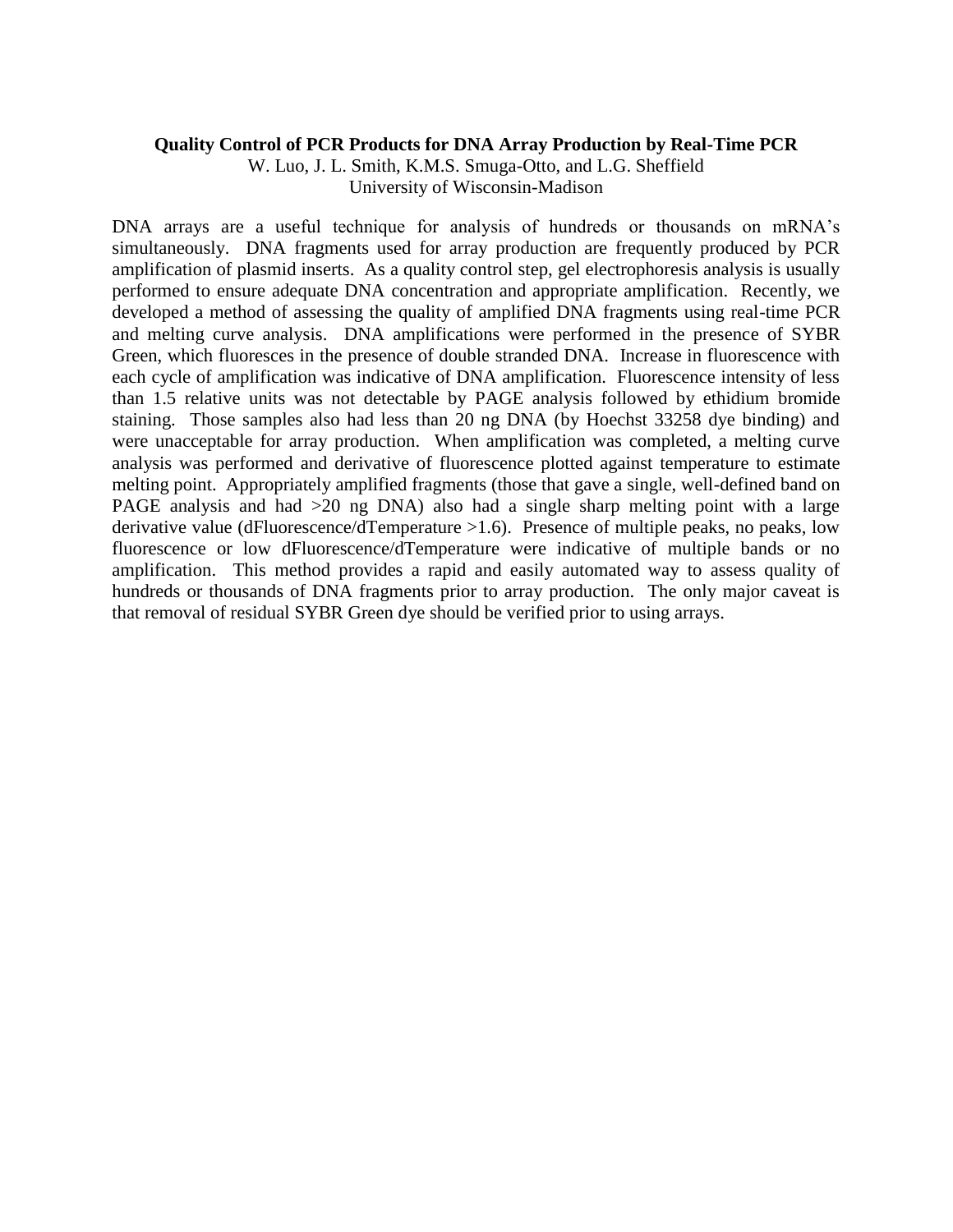#### **Quality Control of PCR Products for DNA Array Production by Real-Time PCR**

W. Luo, J. L. Smith, K.M.S. Smuga-Otto, and L.G. Sheffield University of Wisconsin-Madison

DNA arrays are a useful technique for analysis of hundreds or thousands on mRNA's simultaneously. DNA fragments used for array production are frequently produced by PCR amplification of plasmid inserts. As a quality control step, gel electrophoresis analysis is usually performed to ensure adequate DNA concentration and appropriate amplification. Recently, we developed a method of assessing the quality of amplified DNA fragments using real-time PCR and melting curve analysis. DNA amplifications were performed in the presence of SYBR Green, which fluoresces in the presence of double stranded DNA. Increase in fluorescence with each cycle of amplification was indicative of DNA amplification. Fluorescence intensity of less than 1.5 relative units was not detectable by PAGE analysis followed by ethidium bromide staining. Those samples also had less than 20 ng DNA (by Hoechst 33258 dye binding) and were unacceptable for array production. When amplification was completed, a melting curve analysis was performed and derivative of fluorescence plotted against temperature to estimate melting point. Appropriately amplified fragments (those that gave a single, well-defined band on PAGE analysis and had >20 ng DNA) also had a single sharp melting point with a large derivative value (dFluorescence/dTemperature >1.6). Presence of multiple peaks, no peaks, low fluorescence or low dFluorescence/dTemperature were indicative of multiple bands or no amplification. This method provides a rapid and easily automated way to assess quality of hundreds or thousands of DNA fragments prior to array production. The only major caveat is that removal of residual SYBR Green dye should be verified prior to using arrays.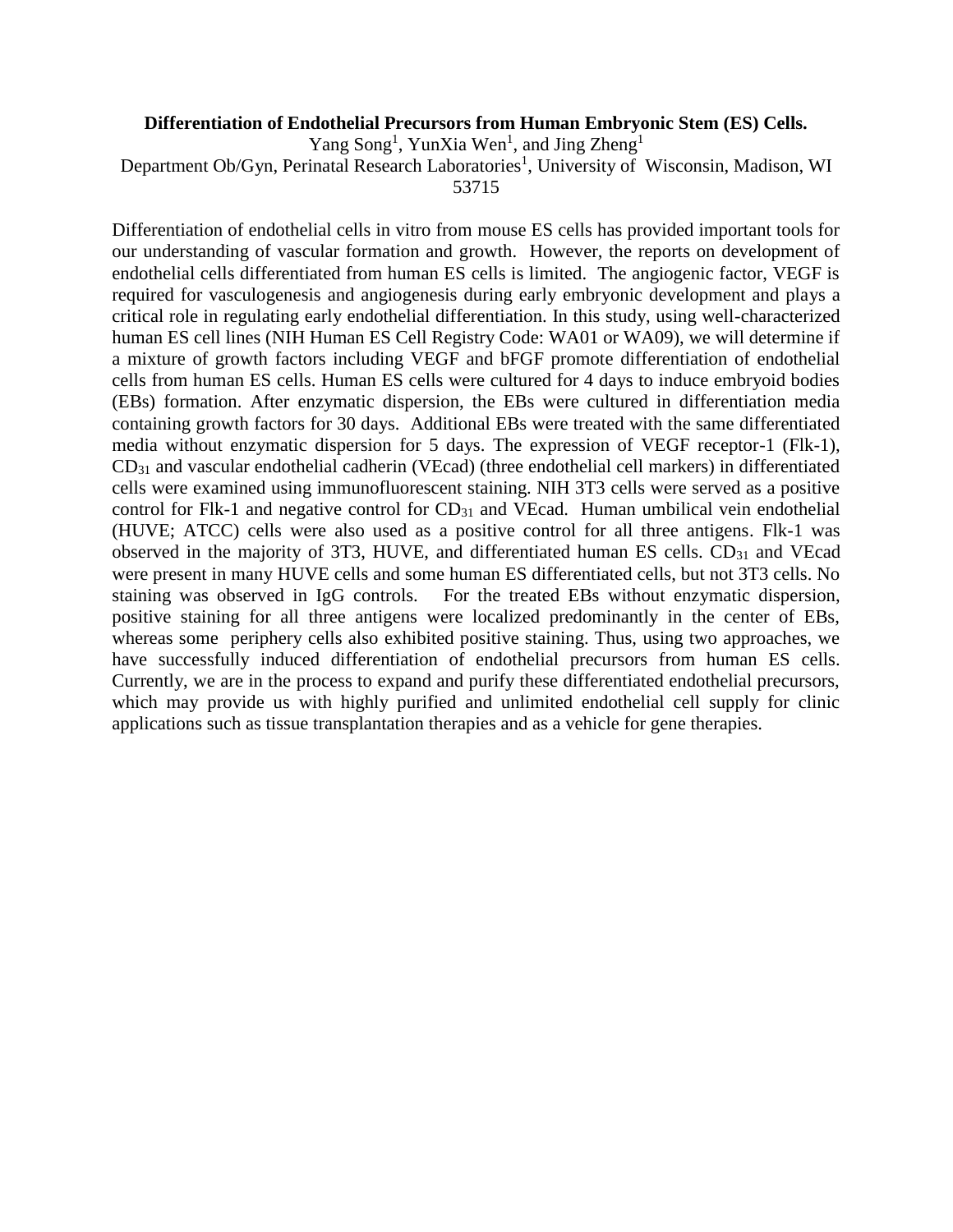# **Differentiation of Endothelial Precursors from Human Embryonic Stem (ES) Cells.**

Yang Song<sup>1</sup>, YunXia Wen<sup>1</sup>, and Jing Zheng<sup>1</sup>

Department Ob/Gyn, Perinatal Research Laboratories<sup>1</sup>, University of Wisconsin, Madison, WI

53715

Differentiation of endothelial cells in vitro from mouse ES cells has provided important tools for our understanding of vascular formation and growth. However, the reports on development of endothelial cells differentiated from human ES cells is limited. The angiogenic factor, VEGF is required for vasculogenesis and angiogenesis during early embryonic development and plays a critical role in regulating early endothelial differentiation. In this study, using well-characterized human ES cell lines (NIH Human ES Cell Registry Code: WA01 or WA09), we will determine if a mixture of growth factors including VEGF and bFGF promote differentiation of endothelial cells from human ES cells. Human ES cells were cultured for 4 days to induce embryoid bodies (EBs) formation. After enzymatic dispersion, the EBs were cultured in differentiation media containing growth factors for 30 days. Additional EBs were treated with the same differentiated media without enzymatic dispersion for 5 days. The expression of VEGF receptor-1 (Flk-1), CD<sup>31</sup> and vascular endothelial cadherin (VEcad) (three endothelial cell markers) in differentiated cells were examined using immunofluorescent staining. NIH 3T3 cells were served as a positive control for Flk-1 and negative control for  $CD_{31}$  and VEcad. Human umbilical vein endothelial (HUVE; ATCC) cells were also used as a positive control for all three antigens. Flk-1 was observed in the majority of 3T3, HUVE, and differentiated human ES cells.  $CD_{31}$  and VEcad were present in many HUVE cells and some human ES differentiated cells, but not 3T3 cells. No staining was observed in IgG controls. For the treated EBs without enzymatic dispersion, positive staining for all three antigens were localized predominantly in the center of EBs, whereas some periphery cells also exhibited positive staining. Thus, using two approaches, we have successfully induced differentiation of endothelial precursors from human ES cells. Currently, we are in the process to expand and purify these differentiated endothelial precursors, which may provide us with highly purified and unlimited endothelial cell supply for clinic applications such as tissue transplantation therapies and as a vehicle for gene therapies.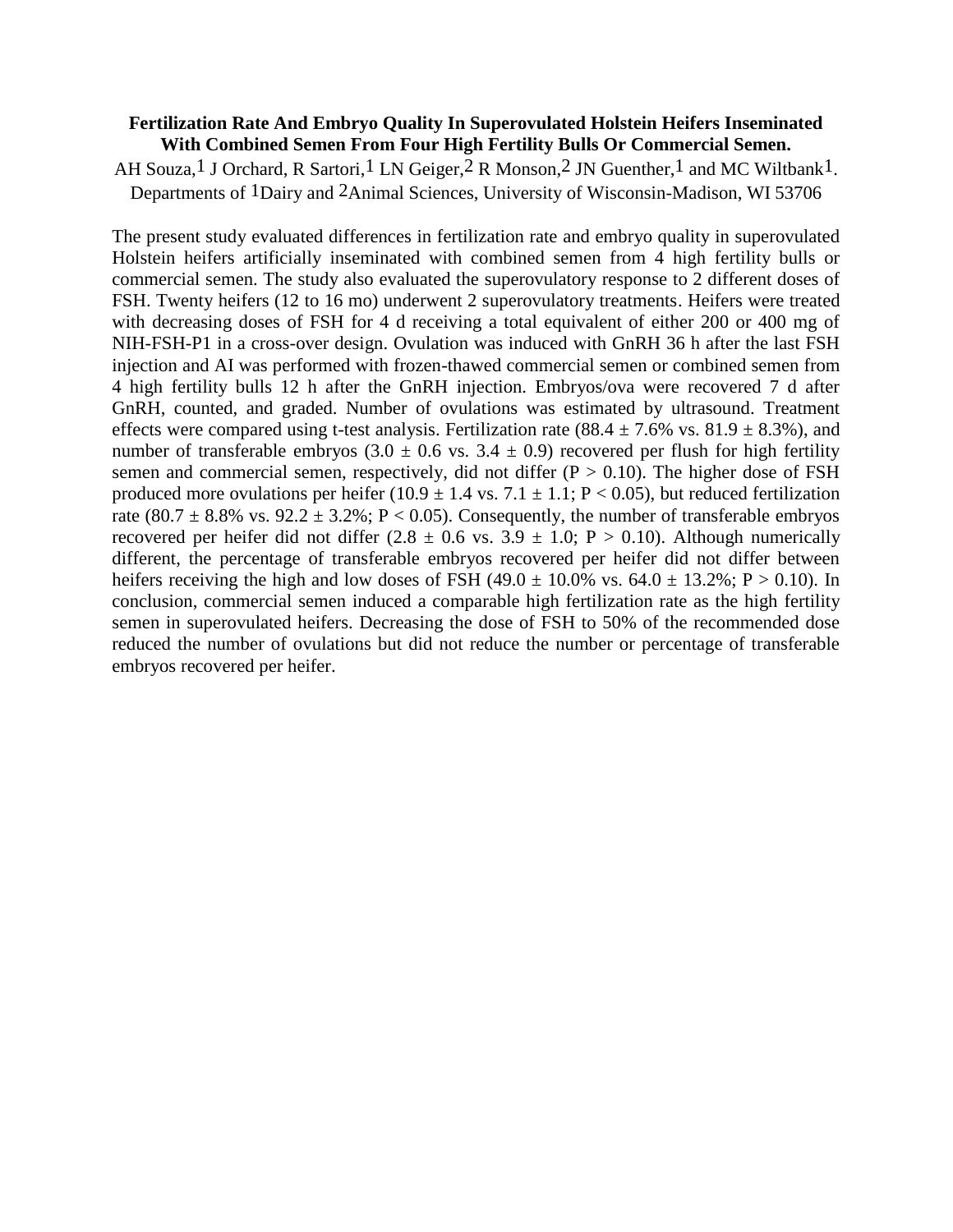#### **Fertilization Rate And Embryo Quality In Superovulated Holstein Heifers Inseminated With Combined Semen From Four High Fertility Bulls Or Commercial Semen.**

AH Souza,<sup>1</sup> J Orchard, R Sartori,<sup>1</sup> LN Geiger,<sup>2</sup> R Monson,<sup>2</sup> JN Guenther,<sup>1</sup> and MC Wiltbank<sup>1</sup>. Departments of 1Dairy and 2Animal Sciences, University of Wisconsin-Madison, WI 53706

The present study evaluated differences in fertilization rate and embryo quality in superovulated Holstein heifers artificially inseminated with combined semen from 4 high fertility bulls or commercial semen. The study also evaluated the superovulatory response to 2 different doses of FSH. Twenty heifers (12 to 16 mo) underwent 2 superovulatory treatments. Heifers were treated with decreasing doses of FSH for 4 d receiving a total equivalent of either 200 or 400 mg of NIH-FSH-P1 in a cross-over design. Ovulation was induced with GnRH 36 h after the last FSH injection and AI was performed with frozen-thawed commercial semen or combined semen from 4 high fertility bulls 12 h after the GnRH injection. Embryos/ova were recovered 7 d after GnRH, counted, and graded. Number of ovulations was estimated by ultrasound. Treatment effects were compared using t-test analysis. Fertilization rate  $(88.4 \pm 7.6\% \text{ vs. } 81.9 \pm 8.3\%)$ , and number of transferable embryos  $(3.0 \pm 0.6 \text{ vs. } 3.4 \pm 0.9)$  recovered per flush for high fertility semen and commercial semen, respectively, did not differ  $(P > 0.10)$ . The higher dose of FSH produced more ovulations per heifer  $(10.9 \pm 1.4 \text{ vs. } 7.1 \pm 1.1; P < 0.05)$ , but reduced fertilization rate (80.7  $\pm$  8.8% vs. 92.2  $\pm$  3.2%; P < 0.05). Consequently, the number of transferable embryos recovered per heifer did not differ  $(2.8 \pm 0.6 \text{ vs. } 3.9 \pm 1.0; \text{ P} > 0.10)$ . Although numerically different, the percentage of transferable embryos recovered per heifer did not differ between heifers receiving the high and low doses of FSH  $(49.0 \pm 10.0\% \text{ vs. } 64.0 \pm 13.2\% \cdot \text{P} > 0.10)$ . In conclusion, commercial semen induced a comparable high fertilization rate as the high fertility semen in superovulated heifers. Decreasing the dose of FSH to 50% of the recommended dose reduced the number of ovulations but did not reduce the number or percentage of transferable embryos recovered per heifer.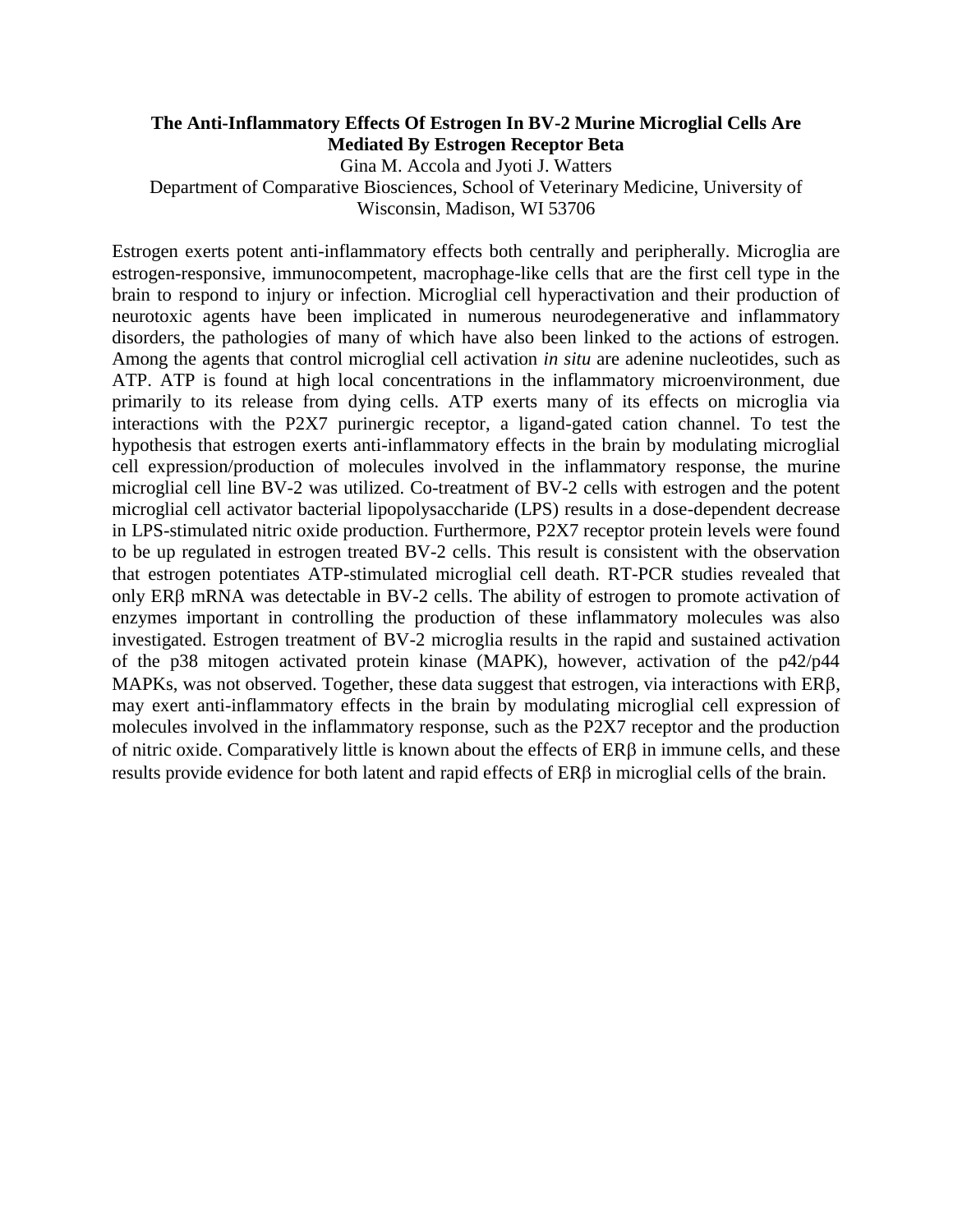# **The Anti-Inflammatory Effects Of Estrogen In BV-2 Murine Microglial Cells Are Mediated By Estrogen Receptor Beta**

Gina M. Accola and Jyoti J. Watters Department of Comparative Biosciences, School of Veterinary Medicine, University of Wisconsin, Madison, WI 53706

Estrogen exerts potent anti-inflammatory effects both centrally and peripherally. Microglia are estrogen-responsive, immunocompetent, macrophage-like cells that are the first cell type in the brain to respond to injury or infection. Microglial cell hyperactivation and their production of neurotoxic agents have been implicated in numerous neurodegenerative and inflammatory disorders, the pathologies of many of which have also been linked to the actions of estrogen. Among the agents that control microglial cell activation *in situ* are adenine nucleotides, such as ATP. ATP is found at high local concentrations in the inflammatory microenvironment, due primarily to its release from dying cells. ATP exerts many of its effects on microglia via interactions with the P2X7 purinergic receptor, a ligand-gated cation channel. To test the hypothesis that estrogen exerts anti-inflammatory effects in the brain by modulating microglial cell expression/production of molecules involved in the inflammatory response, the murine microglial cell line BV-2 was utilized. Co-treatment of BV-2 cells with estrogen and the potent microglial cell activator bacterial lipopolysaccharide (LPS) results in a dose-dependent decrease in LPS-stimulated nitric oxide production. Furthermore, P2X7 receptor protein levels were found to be up regulated in estrogen treated BV-2 cells. This result is consistent with the observation that estrogen potentiates ATP-stimulated microglial cell death. RT-PCR studies revealed that only ER $\beta$  mRNA was detectable in BV-2 cells. The ability of estrogen to promote activation of enzymes important in controlling the production of these inflammatory molecules was also investigated. Estrogen treatment of BV-2 microglia results in the rapid and sustained activation of the p38 mitogen activated protein kinase (MAPK), however, activation of the p42/p44 MAPKs, was not observed. Together, these data suggest that estrogen, via interactions with  $ER\beta$ , may exert anti-inflammatory effects in the brain by modulating microglial cell expression of molecules involved in the inflammatory response, such as the P2X7 receptor and the production of nitric oxide. Comparatively little is known about the effects of  $ER\beta$  in immune cells, and these results provide evidence for both latent and rapid effects of ERB in microglial cells of the brain.